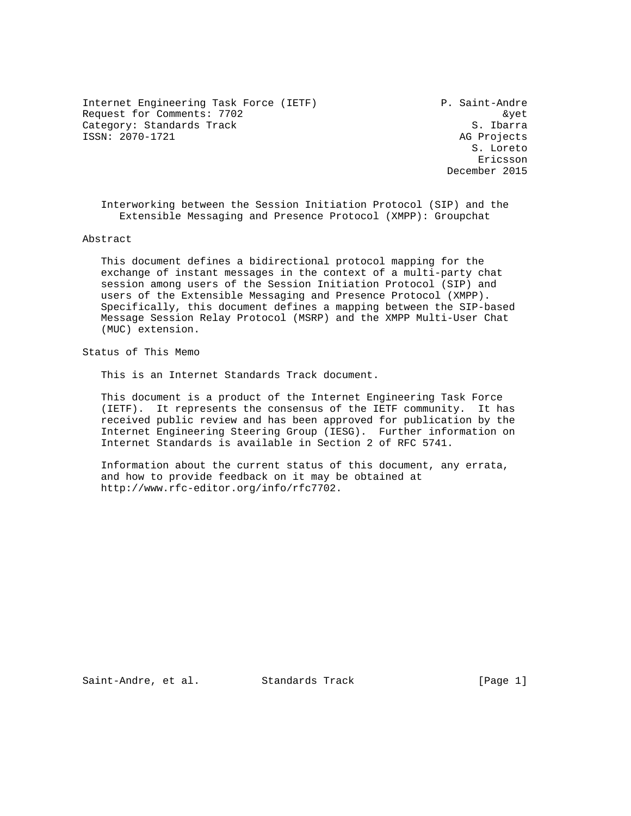Internet Engineering Task Force (IETF) P. Saint-Andre Request for Comments: 7702 and the set of the set of the set of the set of the set of the set of the set of the set of the set of the set of the set of the set of the set of the set of the set of the set of the set of the Category: Standards Track S. Ibarra ISSN: 2070-1721 AG Projects

 S. Loreto Ericsson December 2015

 Interworking between the Session Initiation Protocol (SIP) and the Extensible Messaging and Presence Protocol (XMPP): Groupchat

Abstract

 This document defines a bidirectional protocol mapping for the exchange of instant messages in the context of a multi-party chat session among users of the Session Initiation Protocol (SIP) and users of the Extensible Messaging and Presence Protocol (XMPP). Specifically, this document defines a mapping between the SIP-based Message Session Relay Protocol (MSRP) and the XMPP Multi-User Chat (MUC) extension.

Status of This Memo

This is an Internet Standards Track document.

 This document is a product of the Internet Engineering Task Force (IETF). It represents the consensus of the IETF community. It has received public review and has been approved for publication by the Internet Engineering Steering Group (IESG). Further information on Internet Standards is available in Section 2 of RFC 5741.

 Information about the current status of this document, any errata, and how to provide feedback on it may be obtained at http://www.rfc-editor.org/info/rfc7702.

Saint-Andre, et al. Standards Track [Page 1]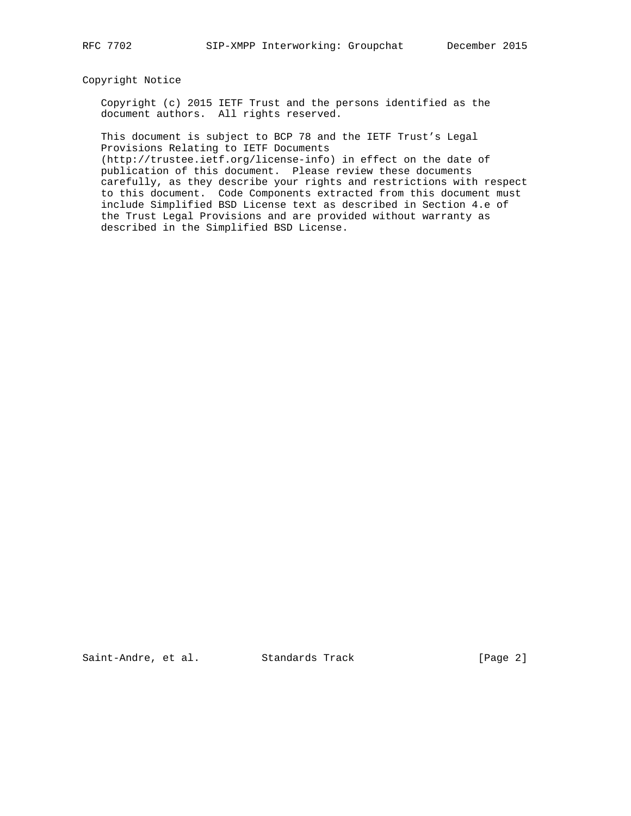### Copyright Notice

 Copyright (c) 2015 IETF Trust and the persons identified as the document authors. All rights reserved.

 This document is subject to BCP 78 and the IETF Trust's Legal Provisions Relating to IETF Documents

 (http://trustee.ietf.org/license-info) in effect on the date of publication of this document. Please review these documents carefully, as they describe your rights and restrictions with respect to this document. Code Components extracted from this document must include Simplified BSD License text as described in Section 4.e of the Trust Legal Provisions and are provided without warranty as described in the Simplified BSD License.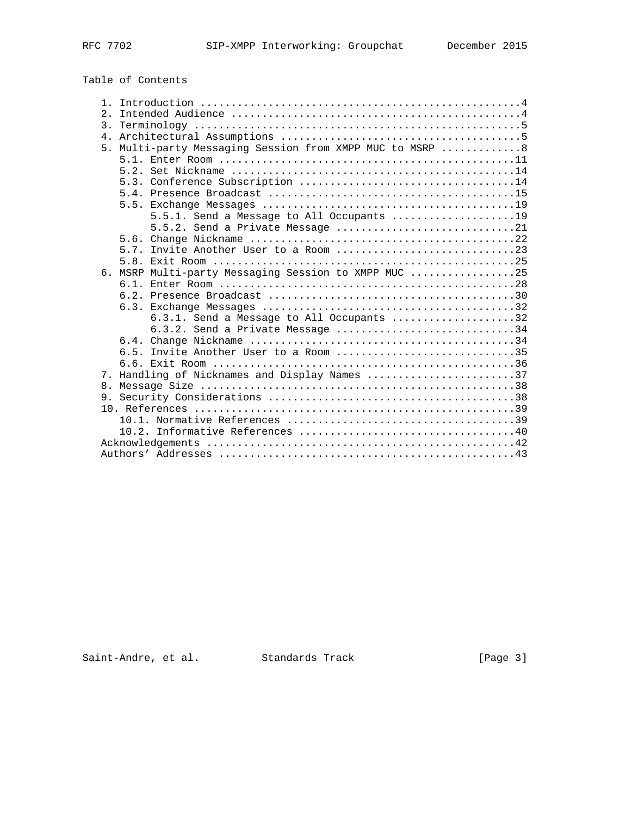# Table of Contents

| $1$ .            |                                                       |
|------------------|-------------------------------------------------------|
| $\mathfrak{D}$ . |                                                       |
|                  |                                                       |
| 4 <sup>1</sup>   |                                                       |
| 5 <sub>1</sub>   | Multi-party Messaging Session from XMPP MUC to MSRP 8 |
|                  |                                                       |
|                  |                                                       |
|                  |                                                       |
|                  |                                                       |
|                  |                                                       |
|                  | 5.5.1. Send a Message to All Occupants $\ldots$ 19    |
|                  | 5.5.2. Send a Private Message 21                      |
|                  |                                                       |
|                  |                                                       |
|                  |                                                       |
|                  |                                                       |
|                  | 6. MSRP Multi-party Messaging Session to XMPP MUC 25  |
|                  |                                                       |
|                  |                                                       |
|                  |                                                       |
|                  | 6.3.1. Send a Message to All Occupants 32             |
|                  | $6.3.2.$ Send a Private Message 34                    |
|                  |                                                       |
|                  | 6.5. Invite Another User to a Room 35                 |
|                  |                                                       |
| 7.               | Handling of Nicknames and Display Names 37            |
|                  |                                                       |
|                  |                                                       |
|                  |                                                       |
|                  |                                                       |
|                  |                                                       |
|                  |                                                       |
|                  |                                                       |
|                  |                                                       |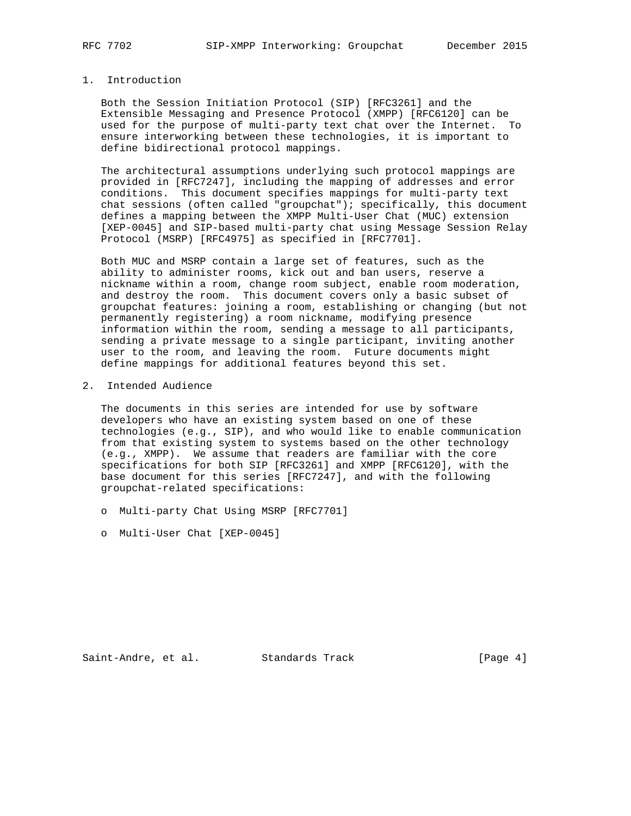## 1. Introduction

 Both the Session Initiation Protocol (SIP) [RFC3261] and the Extensible Messaging and Presence Protocol (XMPP) [RFC6120] can be used for the purpose of multi-party text chat over the Internet. To ensure interworking between these technologies, it is important to define bidirectional protocol mappings.

 The architectural assumptions underlying such protocol mappings are provided in [RFC7247], including the mapping of addresses and error conditions. This document specifies mappings for multi-party text chat sessions (often called "groupchat"); specifically, this document defines a mapping between the XMPP Multi-User Chat (MUC) extension [XEP-0045] and SIP-based multi-party chat using Message Session Relay Protocol (MSRP) [RFC4975] as specified in [RFC7701].

 Both MUC and MSRP contain a large set of features, such as the ability to administer rooms, kick out and ban users, reserve a nickname within a room, change room subject, enable room moderation, and destroy the room. This document covers only a basic subset of groupchat features: joining a room, establishing or changing (but not permanently registering) a room nickname, modifying presence information within the room, sending a message to all participants, sending a private message to a single participant, inviting another user to the room, and leaving the room. Future documents might define mappings for additional features beyond this set.

#### 2. Intended Audience

 The documents in this series are intended for use by software developers who have an existing system based on one of these technologies (e.g., SIP), and who would like to enable communication from that existing system to systems based on the other technology (e.g., XMPP). We assume that readers are familiar with the core specifications for both SIP [RFC3261] and XMPP [RFC6120], with the base document for this series [RFC7247], and with the following groupchat-related specifications:

- o Multi-party Chat Using MSRP [RFC7701]
- o Multi-User Chat [XEP-0045]

Saint-Andre, et al. Standards Track [Page 4]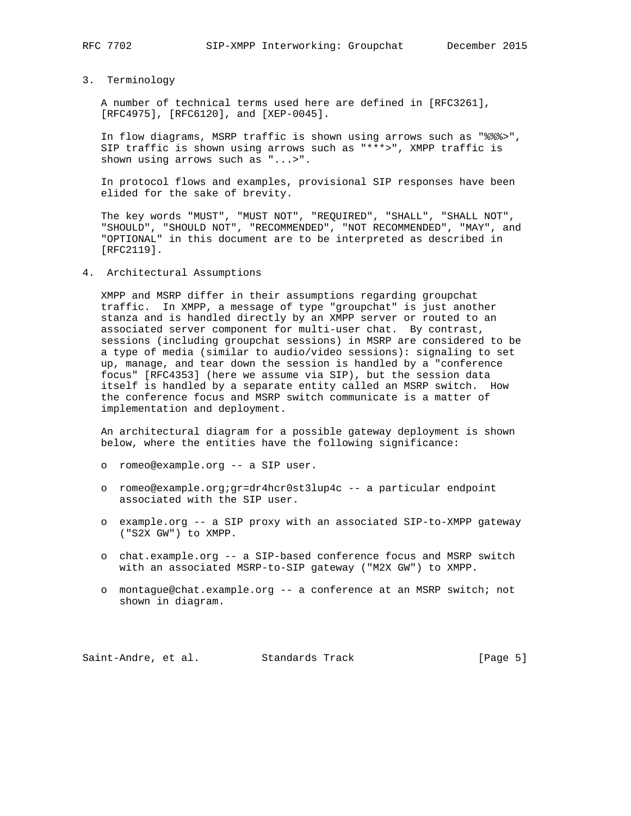## 3. Terminology

 A number of technical terms used here are defined in [RFC3261], [RFC4975], [RFC6120], and [XEP-0045].

 In flow diagrams, MSRP traffic is shown using arrows such as "%%%>", SIP traffic is shown using arrows such as "\*\*\*>", XMPP traffic is shown using arrows such as "...>".

 In protocol flows and examples, provisional SIP responses have been elided for the sake of brevity.

 The key words "MUST", "MUST NOT", "REQUIRED", "SHALL", "SHALL NOT", "SHOULD", "SHOULD NOT", "RECOMMENDED", "NOT RECOMMENDED", "MAY", and "OPTIONAL" in this document are to be interpreted as described in [RFC2119].

4. Architectural Assumptions

 XMPP and MSRP differ in their assumptions regarding groupchat traffic. In XMPP, a message of type "groupchat" is just another stanza and is handled directly by an XMPP server or routed to an associated server component for multi-user chat. By contrast, sessions (including groupchat sessions) in MSRP are considered to be a type of media (similar to audio/video sessions): signaling to set up, manage, and tear down the session is handled by a "conference focus" [RFC4353] (here we assume via SIP), but the session data itself is handled by a separate entity called an MSRP switch. How the conference focus and MSRP switch communicate is a matter of implementation and deployment.

 An architectural diagram for a possible gateway deployment is shown below, where the entities have the following significance:

- o romeo@example.org -- a SIP user.
- o romeo@example.org;gr=dr4hcr0st3lup4c -- a particular endpoint associated with the SIP user.
- o example.org -- a SIP proxy with an associated SIP-to-XMPP gateway ("S2X GW") to XMPP.
- o chat.example.org -- a SIP-based conference focus and MSRP switch with an associated MSRP-to-SIP gateway ("M2X GW") to XMPP.
- o montague@chat.example.org -- a conference at an MSRP switch; not shown in diagram.

Saint-Andre, et al. Standards Track [Page 5]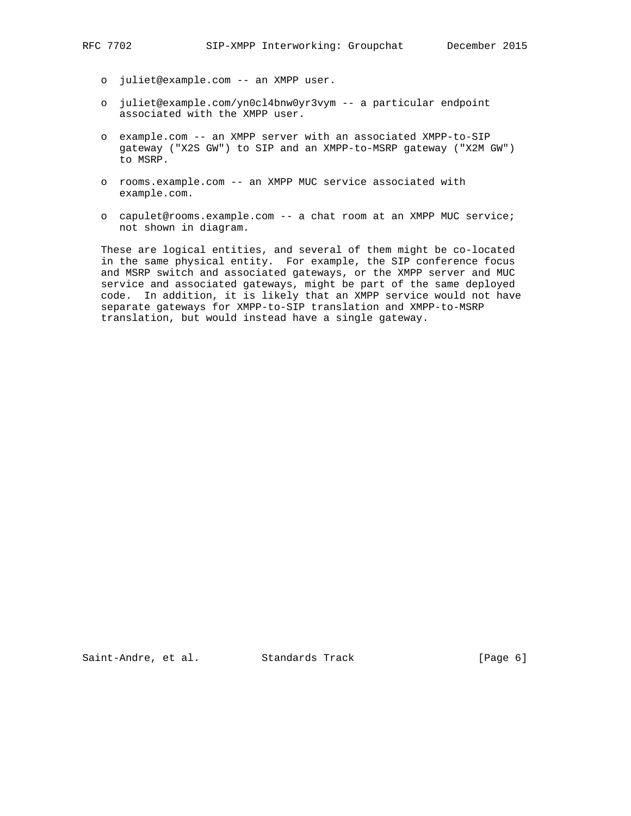- o juliet@example.com -- an XMPP user.
- o juliet@example.com/yn0cl4bnw0yr3vym -- a particular endpoint associated with the XMPP user.
- o example.com -- an XMPP server with an associated XMPP-to-SIP gateway ("X2S GW") to SIP and an XMPP-to-MSRP gateway ("X2M GW") to MSRP.
- o rooms.example.com -- an XMPP MUC service associated with example.com.
- o capulet@rooms.example.com -- a chat room at an XMPP MUC service; not shown in diagram.

 These are logical entities, and several of them might be co-located in the same physical entity. For example, the SIP conference focus and MSRP switch and associated gateways, or the XMPP server and MUC service and associated gateways, might be part of the same deployed code. In addition, it is likely that an XMPP service would not have separate gateways for XMPP-to-SIP translation and XMPP-to-MSRP translation, but would instead have a single gateway.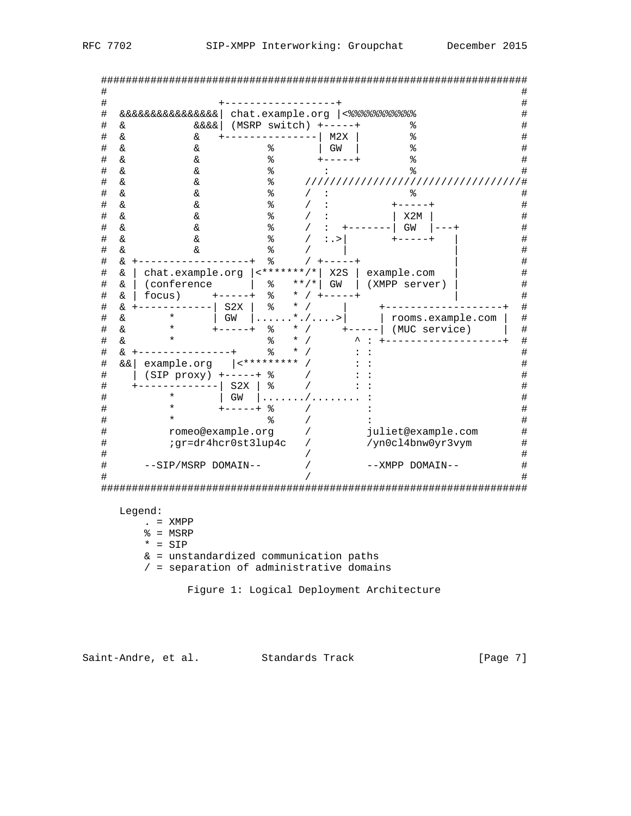| RFC. | 7702 |  |
|------|------|--|
|      |      |  |

| &&&&&&&&&&&&&&&   |                                                                            |                                                                                                                                   | chat.example.org  <%%%%%%%%%%                                                            |                                                                                                                                |
|-------------------|----------------------------------------------------------------------------|-----------------------------------------------------------------------------------------------------------------------------------|------------------------------------------------------------------------------------------|--------------------------------------------------------------------------------------------------------------------------------|
| &&&&  <br>&       | $(MSRP \text{ switch})$ +-----+                                            |                                                                                                                                   | နွ                                                                                       |                                                                                                                                |
| &<br>&            |                                                                            | M2X                                                                                                                               | နွ                                                                                       |                                                                                                                                |
|                   |                                                                            |                                                                                                                                   |                                                                                          |                                                                                                                                |
|                   |                                                                            |                                                                                                                                   | °                                                                                        |                                                                                                                                |
|                   |                                                                            |                                                                                                                                   | る                                                                                        |                                                                                                                                |
|                   |                                                                            |                                                                                                                                   |                                                                                          |                                                                                                                                |
|                   |                                                                            |                                                                                                                                   | °                                                                                        |                                                                                                                                |
|                   |                                                                            | :                                                                                                                                 | $+ - - - - +$                                                                            |                                                                                                                                |
| &                 | ە<br>ج                                                                     |                                                                                                                                   | X2M                                                                                      |                                                                                                                                |
| &<br>&            | န့                                                                         |                                                                                                                                   | GW                                                                                       |                                                                                                                                |
| &<br>&.           | ిం                                                                         | : . >                                                                                                                             |                                                                                          |                                                                                                                                |
| &<br>&.           | ⊱                                                                          |                                                                                                                                   |                                                                                          |                                                                                                                                |
| &                 | ⊱                                                                          |                                                                                                                                   |                                                                                          |                                                                                                                                |
| &                 |                                                                            | X2S                                                                                                                               | example.com                                                                              |                                                                                                                                |
| (conference<br>&  | ႜ                                                                          | GW                                                                                                                                | (XMPP server)                                                                            |                                                                                                                                |
| focus)<br>&       | ి                                                                          |                                                                                                                                   |                                                                                          |                                                                                                                                |
| &.                | ୡ<br>S2X                                                                   |                                                                                                                                   |                                                                                          |                                                                                                                                |
| &.                | GW                                                                         | $\ldots$                                                                                                                          |                                                                                          |                                                                                                                                |
| &.                | နွ                                                                         |                                                                                                                                   | (MUC service)                                                                            |                                                                                                                                |
| δ£                | ৡ                                                                          |                                                                                                                                   |                                                                                          |                                                                                                                                |
| & +               | နွ                                                                         |                                                                                                                                   |                                                                                          |                                                                                                                                |
| example.org<br>&& |                                                                            |                                                                                                                                   |                                                                                          |                                                                                                                                |
|                   |                                                                            |                                                                                                                                   |                                                                                          |                                                                                                                                |
|                   | S2X<br>⊱                                                                   |                                                                                                                                   |                                                                                          |                                                                                                                                |
|                   | GW                                                                         |                                                                                                                                   |                                                                                          |                                                                                                                                |
|                   | ⊱                                                                          |                                                                                                                                   |                                                                                          |                                                                                                                                |
|                   |                                                                            |                                                                                                                                   |                                                                                          |                                                                                                                                |
|                   |                                                                            |                                                                                                                                   |                                                                                          |                                                                                                                                |
|                   |                                                                            |                                                                                                                                   |                                                                                          |                                                                                                                                |
|                   |                                                                            |                                                                                                                                   |                                                                                          |                                                                                                                                |
|                   |                                                                            |                                                                                                                                   |                                                                                          |                                                                                                                                |
|                   |                                                                            |                                                                                                                                   |                                                                                          |                                                                                                                                |
|                   | &<br>&.<br>&<br>&<br>&<br>&<br>&<br>&<br>&<br>&<br>&<br>&<br>&<br>$^\star$ | ి<br>ి<br>ి<br>%<br>ి<br>%<br>$(SIP proxy)$ +-----+<br>ిం<br>⊱<br>romeo@example.org<br>;gr=dr4hcr0st3lup4c<br>--SIP/MSRP DOMAIN-- | GW<br>chat.example.org   <*******/*<br>$* * / *$<br>*<br>*<br>$^\star$<br>$ $ <********* | ٥,<br>/////////////////////////////////////<br>rooms.example.com<br>juliet@example.com<br>/yn0cl4bnw0yr3vym<br>--XMPP DOMAIN-- |

Saint-Andre, et al. Standards Track [Page 7]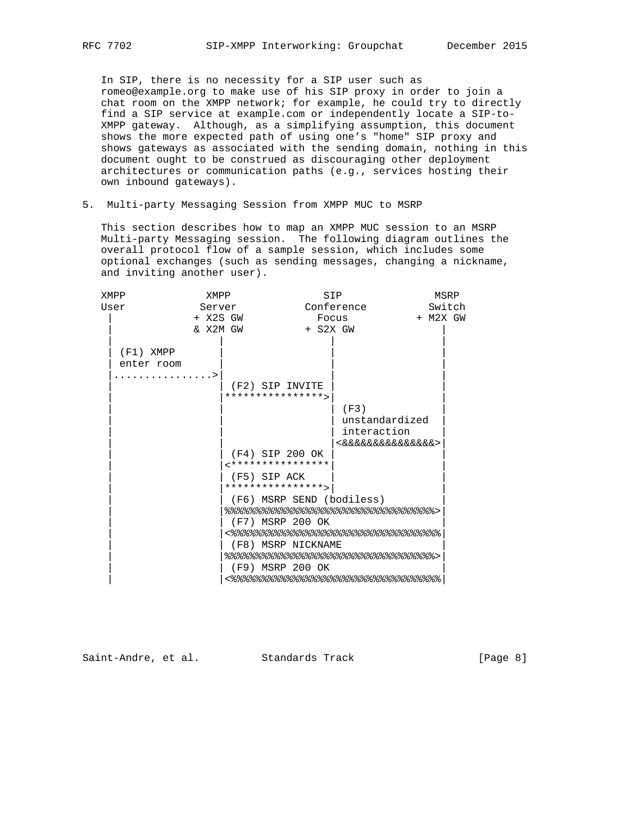In SIP, there is no necessity for a SIP user such as romeo@example.org to make use of his SIP proxy in order to join a chat room on the XMPP network; for example, he could try to directly find a SIP service at example.com or independently locate a SIP-to- XMPP gateway. Although, as a simplifying assumption, this document shows the more expected path of using one's "home" SIP proxy and shows gateways as associated with the sending domain, nothing in this document ought to be construed as discouraging other deployment architectures or communication paths (e.g., services hosting their own inbound gateways).

5. Multi-party Messaging Session from XMPP MUC to MSRP

 This section describes how to map an XMPP MUC session to an MSRP Multi-party Messaging session. The following diagram outlines the overall protocol flow of a sample session, which includes some optional exchanges (such as sending messages, changing a nickname, and inviting another user).

| XMPP        | XMPP     |                  |                    | SIP                                  |          | MSRP   |
|-------------|----------|------------------|--------------------|--------------------------------------|----------|--------|
| User        | Server   |                  |                    | Conference                           |          | Switch |
|             | + X2S GW |                  |                    | Focus                                | + M2X GW |        |
|             | & X2M GW |                  | $+$ S2X GW         |                                      |          |        |
| $(F1)$ XMPP |          |                  |                    |                                      |          |        |
| enter room  |          |                  |                    |                                      |          |        |
|             |          |                  |                    |                                      |          |        |
|             |          | (F2) SIP INVITE  |                    |                                      |          |        |
|             |          | **************** |                    |                                      |          |        |
|             |          |                  |                    | (F3)                                 |          |        |
|             |          |                  |                    | unstandardized                       |          |        |
|             |          |                  |                    | interaction                          |          |        |
|             |          |                  |                    | <&&&&&&&&&&&&&&&                     |          |        |
|             |          | (F4) SIP 200 OK  |                    |                                      |          |        |
|             |          | **************** |                    |                                      |          |        |
|             |          | (F5) SIP ACK     |                    |                                      |          |        |
|             |          | **************** |                    |                                      |          |        |
|             |          |                  |                    | (F6) MSRP SEND (bodiless)            |          |        |
|             |          |                  |                    | 응응응응응응응응응응응응응응응응응응응응응응응응응응응응응응응응응응응응 |          |        |
|             |          | (F7) MSRP 200 OK |                    |                                      |          |        |
|             |          |                  |                    | <응응응응응응응응응응응응응응응응응응응응응응응응응응응응응응응응응응응 |          |        |
|             |          |                  | (F8) MSRP NICKNAME | 응응응응응응응응응응응응응응응응응응응응응응응응응응응응응응응응응응응  |          |        |
|             |          |                  | (F9) MSRP 200 OK   |                                      |          |        |
|             |          |                  |                    | <응응응응응응응응응응응응응응응응응응응응응응응응응응응응응응응응응응응 |          |        |
|             |          |                  |                    |                                      |          |        |

Saint-Andre, et al. Standards Track [Page 8]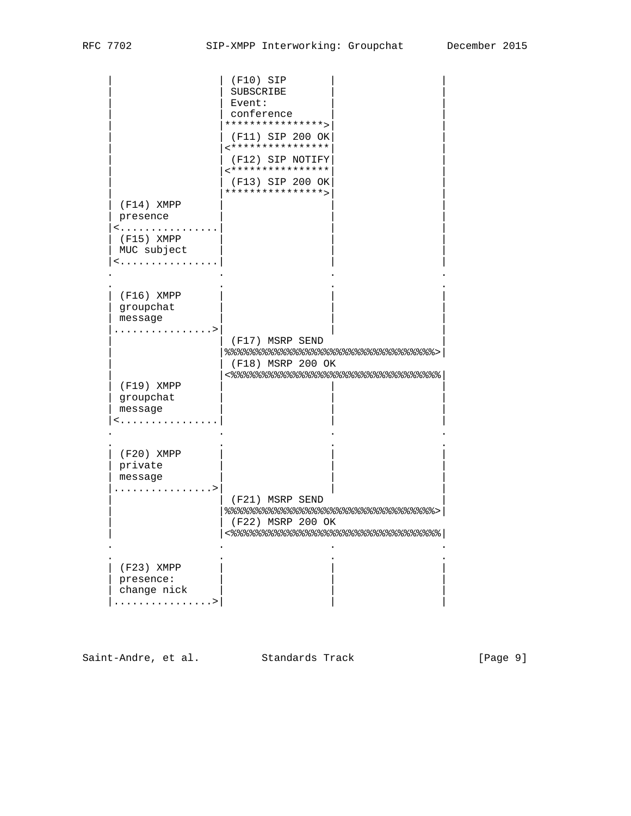|              | $(F10)$ SIP                                               |
|--------------|-----------------------------------------------------------|
|              | SUBSCRIBE                                                 |
|              | Event:                                                    |
|              | conference                                                |
|              | ****************>                                         |
|              | (F11) SIP 200 OK<br>****************                      |
|              | (F12) SIP NOTIFY                                          |
|              | ****************                                          |
|              | (F13) SIP 200 OK                                          |
|              | ****************>                                         |
| $(F14)$ XMPP |                                                           |
| presence     |                                                           |
| <            |                                                           |
| $(F15)$ XMPP |                                                           |
| MUC subject  |                                                           |
| <            |                                                           |
|              |                                                           |
| $(F16)$ XMPP |                                                           |
| groupchat    |                                                           |
| message      |                                                           |
|              |                                                           |
|              | (F17) MSRP SEND                                           |
|              | 응응응응응응응응응응응응응응응응응응응응응응응응응응응응응응응응응응응응<br>(F18) MSRP 200 OK |
|              | <응응응응응응응응응응응응응응응응응응응응응응응응응응응응응응응응응응응응응                    |
| $(F19)$ XMPP |                                                           |
| groupchat    |                                                           |
| message      |                                                           |
| <            |                                                           |
|              |                                                           |
| $(F20)$ XMPP |                                                           |
| private      |                                                           |
| message      |                                                           |
|              |                                                           |
|              | (F21) MSRP SEND                                           |
|              | 응응응응응응응응응응응응응응응응응응응응응응응응응응응응응응응응응응응응                      |
|              | (F22) MSRP 200 OK                                         |
|              | <%%%%%%%%%%%%%%%%%%%%%%%%%%%%%%                           |
|              |                                                           |
| (F23) XMPP   |                                                           |
| presence:    |                                                           |
| change nick  |                                                           |
| . >          |                                                           |

Saint-Andre, et al. Standards Track [Page 9]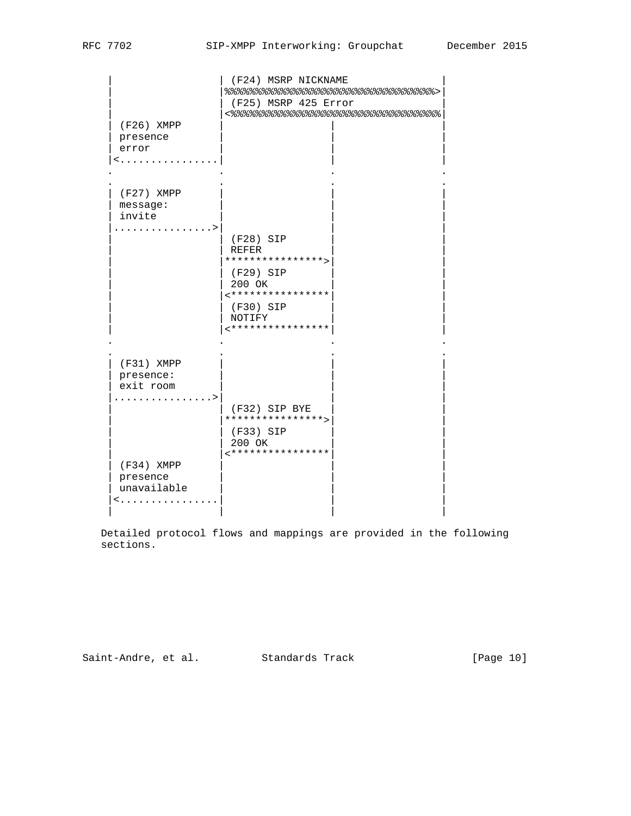| $(F26)$ XMPP<br>presence<br>error<br>< | (F24) MSRP NICKNAME<br>응응응응응응응응응응응응응응응응응응응응응응응응응응응응응응응응응응응<br>(F25) MSRP 425 Error |  |
|----------------------------------------|------------------------------------------------------------------------------------|--|
| (F27) XMPP<br>message:<br>invite       |                                                                                    |  |
| . >                                    | (F28) SIP<br>REFER<br>****************>                                            |  |
|                                        | (F29) SIP<br>200 OK<br>****************                                            |  |
|                                        | (F30) SIP<br>NOTIFY<br>****************                                            |  |
| (F31) XMPP<br>presence:                |                                                                                    |  |
| exit room                              |                                                                                    |  |
| $\ldots \ldots$                        |                                                                                    |  |
|                                        | (F32) SIP BYE<br>****************>                                                 |  |
|                                        | (F33) SIP                                                                          |  |
|                                        | 200 OK                                                                             |  |
| $(F34)$ XMPP                           | ****************                                                                   |  |
| presence                               |                                                                                    |  |
| unavailable                            |                                                                                    |  |
|                                        |                                                                                    |  |

 Detailed protocol flows and mappings are provided in the following sections.

Saint-Andre, et al. Standards Track [Page 10]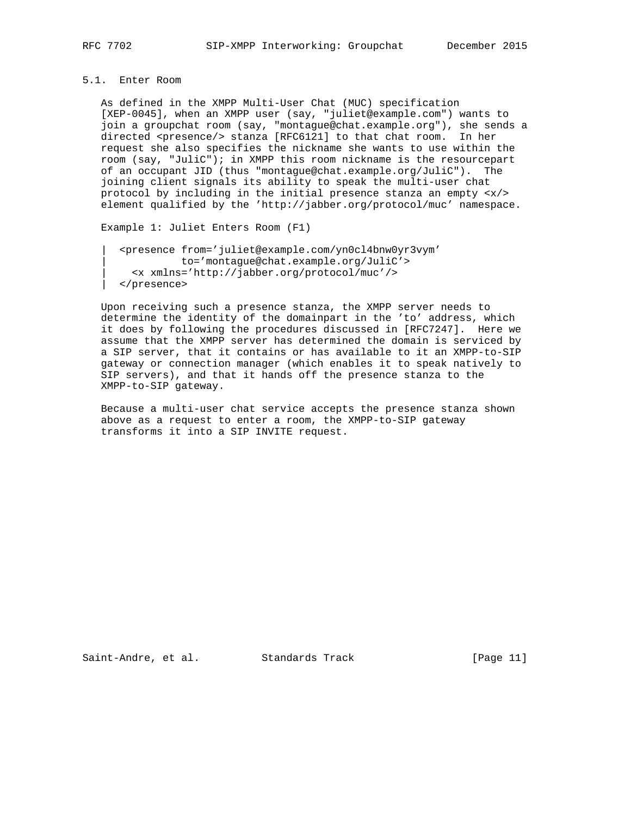## 5.1. Enter Room

 As defined in the XMPP Multi-User Chat (MUC) specification [XEP-0045], when an XMPP user (say, "juliet@example.com") wants to join a groupchat room (say, "montague@chat.example.org"), she sends a directed <presence/> stanza [RFC6121] to that chat room. In her request she also specifies the nickname she wants to use within the room (say, "JuliC"); in XMPP this room nickname is the resourcepart of an occupant JID (thus "montague@chat.example.org/JuliC"). The joining client signals its ability to speak the multi-user chat protocol by including in the initial presence stanza an empty <x/> element qualified by the 'http://jabber.org/protocol/muc' namespace.

```
 Example 1: Juliet Enters Room (F1)
```

```
 | <presence from='juliet@example.com/yn0cl4bnw0yr3vym'
      | to='montague@chat.example.org/JuliC'>
     | <x xmlns='http://jabber.org/protocol/muc'/>
 | </presence>
```
 Upon receiving such a presence stanza, the XMPP server needs to determine the identity of the domainpart in the 'to' address, which it does by following the procedures discussed in [RFC7247]. Here we assume that the XMPP server has determined the domain is serviced by a SIP server, that it contains or has available to it an XMPP-to-SIP gateway or connection manager (which enables it to speak natively to SIP servers), and that it hands off the presence stanza to the XMPP-to-SIP gateway.

 Because a multi-user chat service accepts the presence stanza shown above as a request to enter a room, the XMPP-to-SIP gateway transforms it into a SIP INVITE request.

Saint-Andre, et al. Standards Track [Page 11]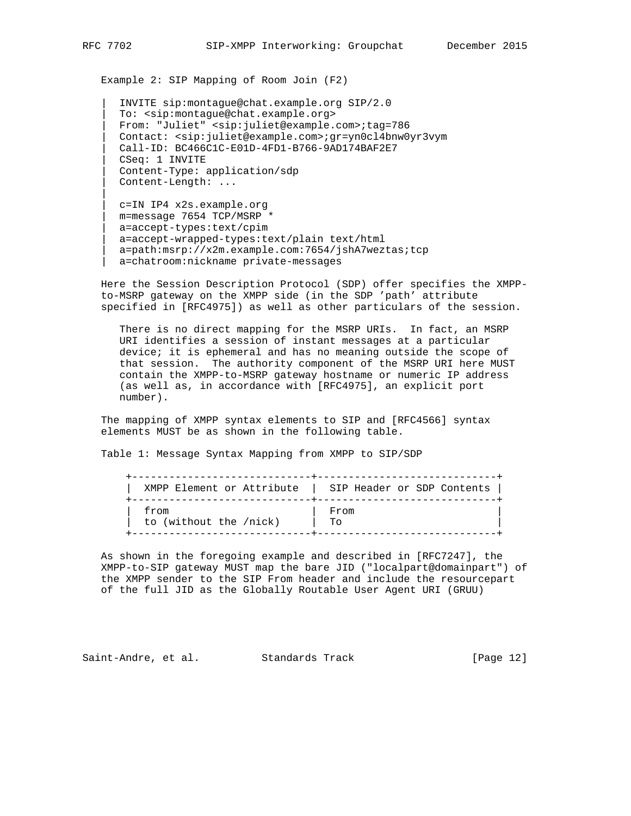Example 2: SIP Mapping of Room Join (F2)

 | INVITE sip:montague@chat.example.org SIP/2.0 | To: <sip:montague@chat.example.org> | From: "Juliet" <sip:juliet@example.com>;tag=786 | Contact: <sip:juliet@example.com>;gr=yn0cl4bnw0yr3vym | Call-ID: BC466C1C-E01D-4FD1-B766-9AD174BAF2E7 | CSeq: 1 INVITE | Content-Type: application/sdp | Content-Length: ...

 | c=IN IP4 x2s.example.org | m=message 7654 TCP/MSRP \* | a=accept-types:text/cpim | a=accept-wrapped-types:text/plain text/html a=path:msrp://x2m.example.com:7654/jshA7weztas;tcp | a=chatroom:nickname private-messages

 Here the Session Description Protocol (SDP) offer specifies the XMPP to-MSRP gateway on the XMPP side (in the SDP 'path' attribute specified in [RFC4975]) as well as other particulars of the session.

 There is no direct mapping for the MSRP URIs. In fact, an MSRP URI identifies a session of instant messages at a particular device; it is ephemeral and has no meaning outside the scope of that session. The authority component of the MSRP URI here MUST contain the XMPP-to-MSRP gateway hostname or numeric IP address (as well as, in accordance with [RFC4975], an explicit port number).

 The mapping of XMPP syntax elements to SIP and [RFC4566] syntax elements MUST be as shown in the following table.

Table 1: Message Syntax Mapping from XMPP to SIP/SDP

| XMPP Element or Attribute | SIP Header or SDP Contents |
|---------------------------|----------------------------|
| from                      | From                       |
| to (without the /nick)    | To                         |

 As shown in the foregoing example and described in [RFC7247], the XMPP-to-SIP gateway MUST map the bare JID ("localpart@domainpart") of the XMPP sender to the SIP From header and include the resourcepart of the full JID as the Globally Routable User Agent URI (GRUU)

Saint-Andre, et al. Standards Track [Page 12]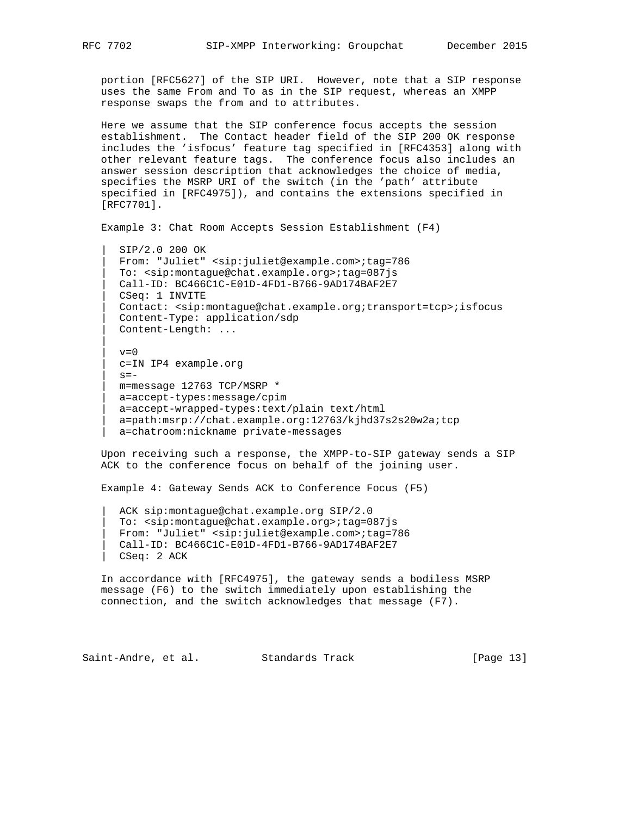portion [RFC5627] of the SIP URI. However, note that a SIP response uses the same From and To as in the SIP request, whereas an XMPP response swaps the from and to attributes.

 Here we assume that the SIP conference focus accepts the session establishment. The Contact header field of the SIP 200 OK response includes the 'isfocus' feature tag specified in [RFC4353] along with other relevant feature tags. The conference focus also includes an answer session description that acknowledges the choice of media, specifies the MSRP URI of the switch (in the 'path' attribute specified in [RFC4975]), and contains the extensions specified in [RFC7701].

```
 Example 3: Chat Room Accepts Session Establishment (F4)
```
 | SIP/2.0 200 OK | From: "Juliet" <sip:juliet@example.com>;tag=786 | To: <sip:montague@chat.example.org>;tag=087js | Call-ID: BC466C1C-E01D-4FD1-B766-9AD174BAF2E7 | CSeq: 1 INVITE | Contact: <sip:montague@chat.example.org;transport=tcp>;isfocus | Content-Type: application/sdp | Content-Length: ...

```
v=0 | c=IN IP4 example.org
s=- | m=message 12763 TCP/MSRP *
 | a=accept-types:message/cpim
 | a=accept-wrapped-types:text/plain text/html
 | a=path:msrp://chat.example.org:12763/kjhd37s2s20w2a;tcp
a=chatroom:nickname private-messages
```
 Upon receiving such a response, the XMPP-to-SIP gateway sends a SIP ACK to the conference focus on behalf of the joining user.

Example 4: Gateway Sends ACK to Conference Focus (F5)

ACK sip:montague@chat.example.org SIP/2.0 | To: <sip:montague@chat.example.org>;tag=087js | From: "Juliet" <sip:juliet@example.com>;tag=786 | Call-ID: BC466C1C-E01D-4FD1-B766-9AD174BAF2E7 | CSeq: 2 ACK

 In accordance with [RFC4975], the gateway sends a bodiless MSRP message (F6) to the switch immediately upon establishing the connection, and the switch acknowledges that message (F7).

Saint-Andre, et al. Standards Track [Page 13]

||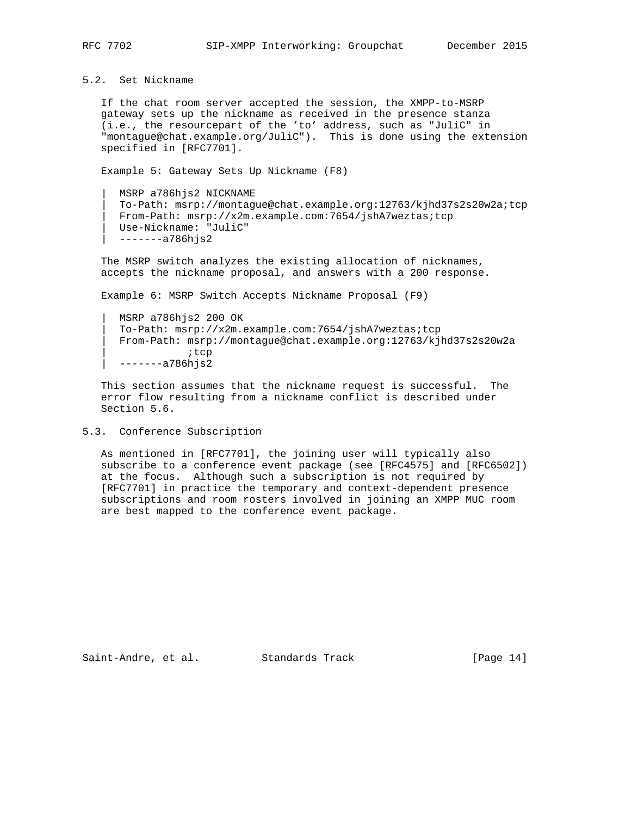5.2. Set Nickname

 If the chat room server accepted the session, the XMPP-to-MSRP gateway sets up the nickname as received in the presence stanza (i.e., the resourcepart of the 'to' address, such as "JuliC" in "montague@chat.example.org/JuliC"). This is done using the extension specified in [RFC7701].

Example 5: Gateway Sets Up Nickname (F8)

 | MSRP a786hjs2 NICKNAME | To-Path: msrp://montague@chat.example.org:12763/kjhd37s2s20w2a;tcp | From-Path: msrp://x2m.example.com:7654/jshA7weztas;tcp | Use-Nickname: "JuliC" | -------a786hjs2

 The MSRP switch analyzes the existing allocation of nicknames, accepts the nickname proposal, and answers with a 200 response.

Example 6: MSRP Switch Accepts Nickname Proposal (F9)

 | MSRP a786hjs2 200 OK | To-Path: msrp://x2m.example.com:7654/jshA7weztas;tcp | From-Path: msrp://montague@chat.example.org:12763/kjhd37s2s20w2a ;tcp | -------a786hjs2

 This section assumes that the nickname request is successful. The error flow resulting from a nickname conflict is described under Section 5.6.

5.3. Conference Subscription

 As mentioned in [RFC7701], the joining user will typically also subscribe to a conference event package (see [RFC4575] and [RFC6502]) at the focus. Although such a subscription is not required by [RFC7701] in practice the temporary and context-dependent presence subscriptions and room rosters involved in joining an XMPP MUC room are best mapped to the conference event package.

Saint-Andre, et al. Standards Track [Page 14]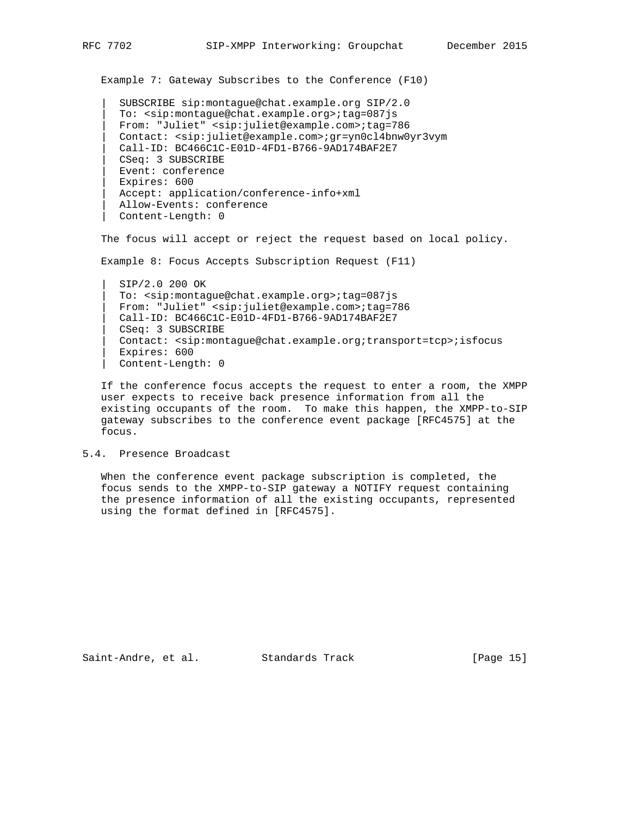Example 7: Gateway Subscribes to the Conference (F10)

 | SUBSCRIBE sip:montague@chat.example.org SIP/2.0 | To: <sip:montague@chat.example.org>;tag=087js | From: "Juliet" <sip:juliet@example.com>;tag=786 | Contact: <sip:juliet@example.com>;gr=yn0cl4bnw0yr3vym | Call-ID: BC466C1C-E01D-4FD1-B766-9AD174BAF2E7 | CSeq: 3 SUBSCRIBE | Event: conference | Expires: 600 | Accept: application/conference-info+xml | Allow-Events: conference | Content-Length: 0

The focus will accept or reject the request based on local policy.

Example 8: Focus Accepts Subscription Request (F11)

 | SIP/2.0 200 OK | To: <sip:montague@chat.example.org>;tag=087js | From: "Juliet" <sip:juliet@example.com>;tag=786 | Call-ID: BC466C1C-E01D-4FD1-B766-9AD174BAF2E7 | CSeq: 3 SUBSCRIBE | Contact: <sip:montague@chat.example.org;transport=tcp>;isfocus | Expires: 600 | Content-Length: 0

 If the conference focus accepts the request to enter a room, the XMPP user expects to receive back presence information from all the existing occupants of the room. To make this happen, the XMPP-to-SIP gateway subscribes to the conference event package [RFC4575] at the focus.

### 5.4. Presence Broadcast

 When the conference event package subscription is completed, the focus sends to the XMPP-to-SIP gateway a NOTIFY request containing the presence information of all the existing occupants, represented using the format defined in [RFC4575].

Saint-Andre, et al. Standards Track [Page 15]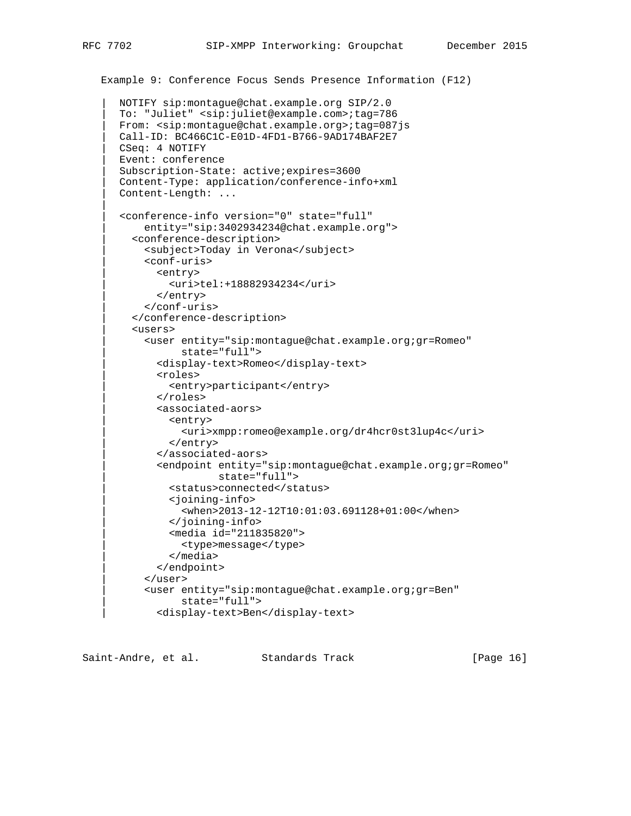```
 Example 9: Conference Focus Sends Presence Information (F12)
    | NOTIFY sip:montague@chat.example.org SIP/2.0
    | To: "Juliet" <sip:juliet@example.com>;tag=786
   | From: <sip:montague@chat.example.org>;tag=087js
   | Call-ID: BC466C1C-E01D-4FD1-B766-9AD174BAF2E7
   | CSeq: 4 NOTIFY
   | Event: conference
    | Subscription-State: active;expires=3600
    | Content-Type: application/conference-info+xml
    | Content-Length: ...
    | <conference-info version="0" state="full"
        | entity="sip:3402934234@chat.example.org">
      | <conference-description>
        | <subject>Today in Verona</subject>
        | <conf-uris>
          | <entry>
            | <uri>tel:+18882934234</uri>
          | </entry>
        | </conf-uris>
      | </conference-description>
      | <users>
        | <user entity="sip:montague@chat.example.org;gr=Romeo"
               | state="full">
          | <display-text>Romeo</display-text>
          | <roles>
             | <entry>participant</entry>
          | </roles>
          | <associated-aors>
             | <entry>
               | <uri>xmpp:romeo@example.org/dr4hcr0st3lup4c</uri>
             | </entry>
          | </associated-aors>
           | <endpoint entity="sip:montague@chat.example.org;gr=Romeo"
                     | state="full">
             | <status>connected</status>
             | <joining-info>
               | <when>2013-12-12T10:01:03.691128+01:00</when>
```
Saint-Andre, et al. Standards Track [Page 16]

| <user entity="sip:montague@chat.example.org;gr=Ben"

| </joining-info>

| state="full">

 | </media> | </endpoint>

| </user>

 | <media id="211835820"> | <type>message</type>

| <display-text>Ben</display-text>

|| ||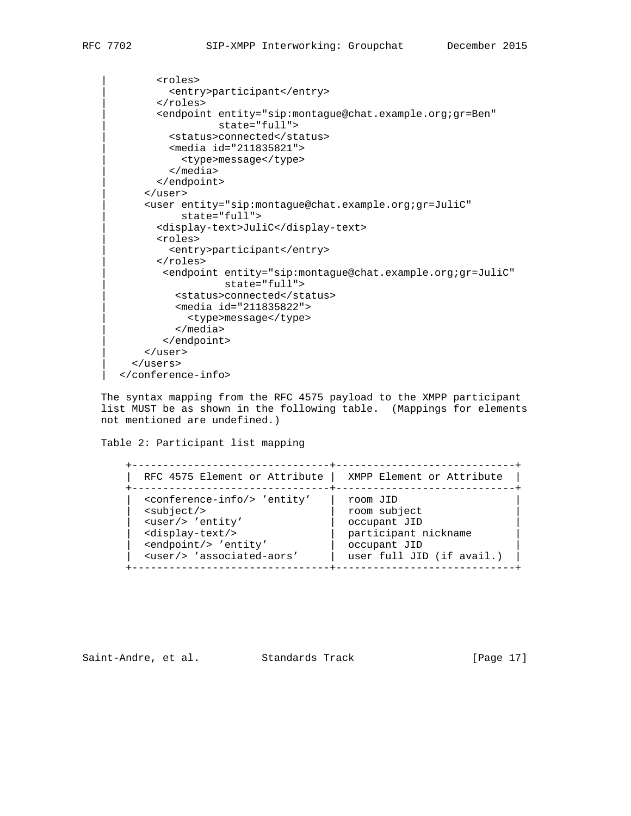```
 | <roles>
         | <entry>participant</entry>
       | </roles>
       | <endpoint entity="sip:montague@chat.example.org;gr=Ben"
                   | state="full">
         | <status>connected</status>
         | <media id="211835821">
           | <type>message</type>
          | </media>
       | </endpoint>
     | </user>
     | <user entity="sip:montague@chat.example.org;gr=JuliC"
           | state="full">
       | <display-text>JuliC</display-text>
       | <roles>
          | <entry>participant</entry>
       | </roles>
        | <endpoint entity="sip:montague@chat.example.org;gr=JuliC"
                    | state="full">
          | <status>connected</status>
          | <media id="211835822">
             | <type>message</type>
          | </media>
        | </endpoint>
     | </user>
   | </users>
 | </conference-info>
```
 The syntax mapping from the RFC 4575 payload to the XMPP participant list MUST be as shown in the following table. (Mappings for elements not mentioned are undefined.)

Table 2: Participant list mapping

| RFC 4575 Element or Attribute                                                                                                                                                             |
|-------------------------------------------------------------------------------------------------------------------------------------------------------------------------------------------|
| <conference-info></conference-info> 'entity'<br>$subject$<br><user></user> 'entity'<br><display-text></display-text><br><endpoint></endpoint> 'entity'<br><user></user> 'associated-aors' |

Saint-Andre, et al. Standards Track [Page 17]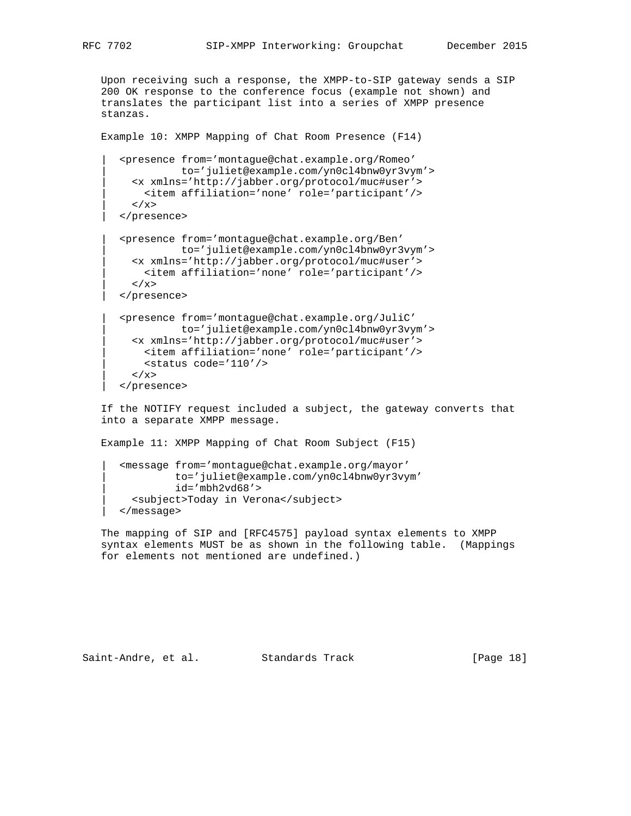Upon receiving such a response, the XMPP-to-SIP gateway sends a SIP 200 OK response to the conference focus (example not shown) and translates the participant list into a series of XMPP presence stanzas.

Example 10: XMPP Mapping of Chat Room Presence (F14)

```
 | <presence from='montague@chat.example.org/Romeo'
           | to='juliet@example.com/yn0cl4bnw0yr3vym'>
  | <x xmlns='http://jabber.org/protocol/muc#user'>
    | <item affiliation='none' role='participant'/>
  \langle / x> | </presence>
```

```
 | <presence from='montague@chat.example.org/Ben'
            | to='juliet@example.com/yn0cl4bnw0yr3vym'>
   | <x xmlns='http://jabber.org/protocol/muc#user'>
    | <item affiliation='none' role='participant'/>
 \rm < / \rm x >
```
| </presence>

```
 | <presence from='montague@chat.example.org/JuliC'
            | to='juliet@example.com/yn0cl4bnw0yr3vym'>
   | <x xmlns='http://jabber.org/protocol/muc#user'>
     | <item affiliation='none' role='participant'/>
     | <status code='110'/>
  \langle / x >
 | </presence>
```
 If the NOTIFY request included a subject, the gateway converts that into a separate XMPP message.

Example 11: XMPP Mapping of Chat Room Subject (F15)

```
 | <message from='montague@chat.example.org/mayor'
          | to='juliet@example.com/yn0cl4bnw0yr3vym'
          | id='mbh2vd68'>
   | <subject>Today in Verona</subject>
 | </message>
```
 The mapping of SIP and [RFC4575] payload syntax elements to XMPP syntax elements MUST be as shown in the following table. (Mappings for elements not mentioned are undefined.)

Saint-Andre, et al. Standards Track [Page 18]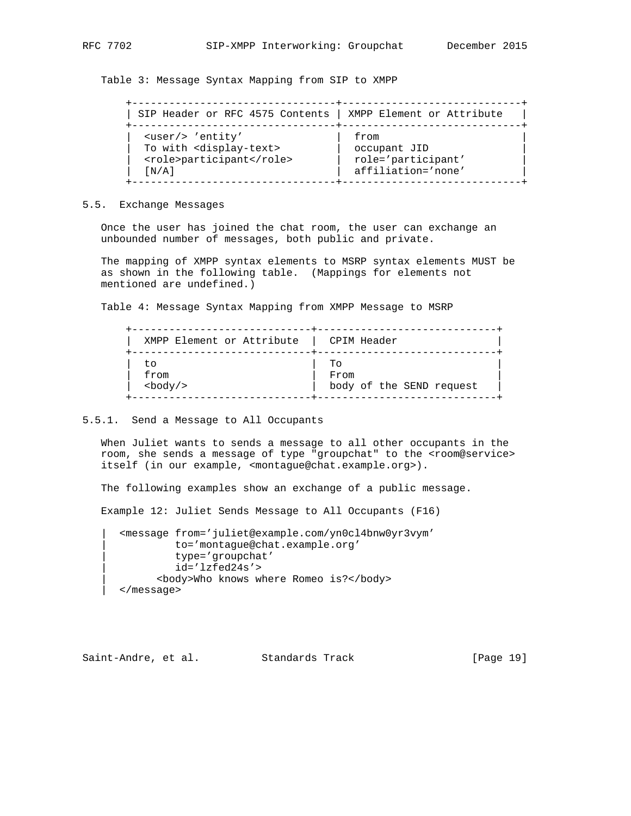Table 3: Message Syntax Mapping from SIP to XMPP

| SIP Header or RFC 4575 Contents   XMPP Element or Attribute                                            |
|--------------------------------------------------------------------------------------------------------|
| <user></user> 'entity'<br>To with <display-text><br/><role>participant</role><br/>[N/A]</display-text> |

5.5. Exchange Messages

 Once the user has joined the chat room, the user can exchange an unbounded number of messages, both public and private.

 The mapping of XMPP syntax elements to MSRP syntax elements MUST be as shown in the following table. (Mappings for elements not mentioned are undefined.)

Table 4: Message Syntax Mapping from XMPP Message to MSRP

| XMPP Element or Attribute | CPIM Header              |
|---------------------------|--------------------------|
| to                        | TΟ                       |
| from                      | From                     |
| $<$ body $/$ >            | body of the SEND request |

#### 5.5.1. Send a Message to All Occupants

 When Juliet wants to sends a message to all other occupants in the room, she sends a message of type "groupchat" to the <room@service> itself (in our example, <montague@chat.example.org>).

The following examples show an exchange of a public message.

Example 12: Juliet Sends Message to All Occupants (F16)

 | <message from='juliet@example.com/yn0cl4bnw0yr3vym' | to='montague@chat.example.org' | type='groupchat' | id='lzfed24s'> | <body>Who knows where Romeo is?</body> | </message>

Saint-Andre, et al. Standards Track [Page 19]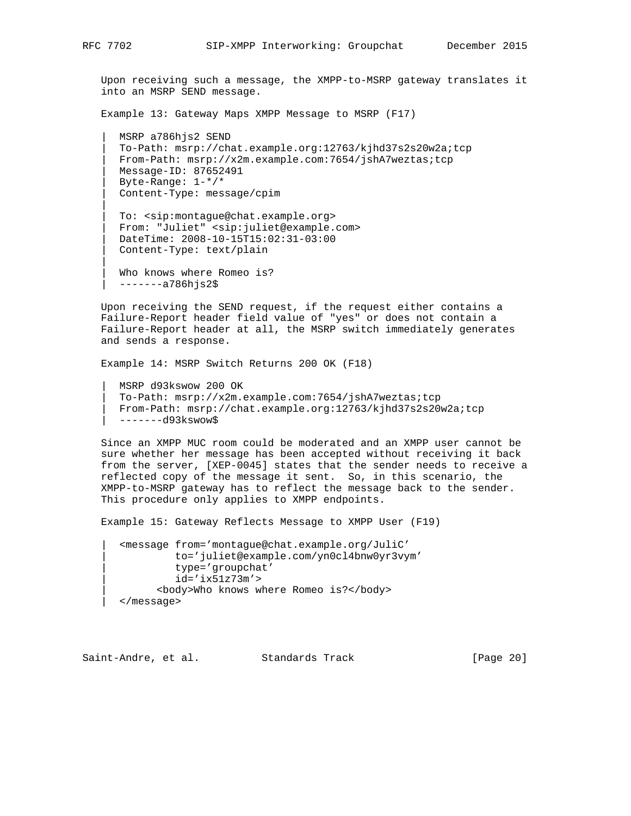Upon receiving such a message, the XMPP-to-MSRP gateway translates it into an MSRP SEND message.

Example 13: Gateway Maps XMPP Message to MSRP (F17)

 | MSRP a786hjs2 SEND | To-Path: msrp://chat.example.org:12763/kjhd37s2s20w2a;tcp | From-Path: msrp://x2m.example.com:7654/jshA7weztas;tcp | Message-ID: 87652491 | Byte-Range: 1-\*/\* | Content-Type: message/cpim

 | To: <sip:montague@chat.example.org> | From: "Juliet" <sip:juliet@example.com> | DateTime: 2008-10-15T15:02:31-03:00 | Content-Type: text/plain

Who knows where Romeo is? | -------a786hjs2\$

 Upon receiving the SEND request, if the request either contains a Failure-Report header field value of "yes" or does not contain a Failure-Report header at all, the MSRP switch immediately generates and sends a response.

Example 14: MSRP Switch Returns 200 OK (F18)

 | MSRP d93kswow 200 OK | To-Path: msrp://x2m.example.com:7654/jshA7weztas;tcp | From-Path: msrp://chat.example.org:12763/kjhd37s2s20w2a;tcp | -------d93kswow\$

 Since an XMPP MUC room could be moderated and an XMPP user cannot be sure whether her message has been accepted without receiving it back from the server, [XEP-0045] states that the sender needs to receive a reflected copy of the message it sent. So, in this scenario, the XMPP-to-MSRP gateway has to reflect the message back to the sender. This procedure only applies to XMPP endpoints.

Example 15: Gateway Reflects Message to XMPP User (F19)

 | <message from='montague@chat.example.org/JuliC' | to='juliet@example.com/yn0cl4bnw0yr3vym' | type='groupchat' | id='ix51z73m'> | <body>Who knows where Romeo is?</body> | </message>

Saint-Andre, et al. Standards Track [Page 20]

|| ||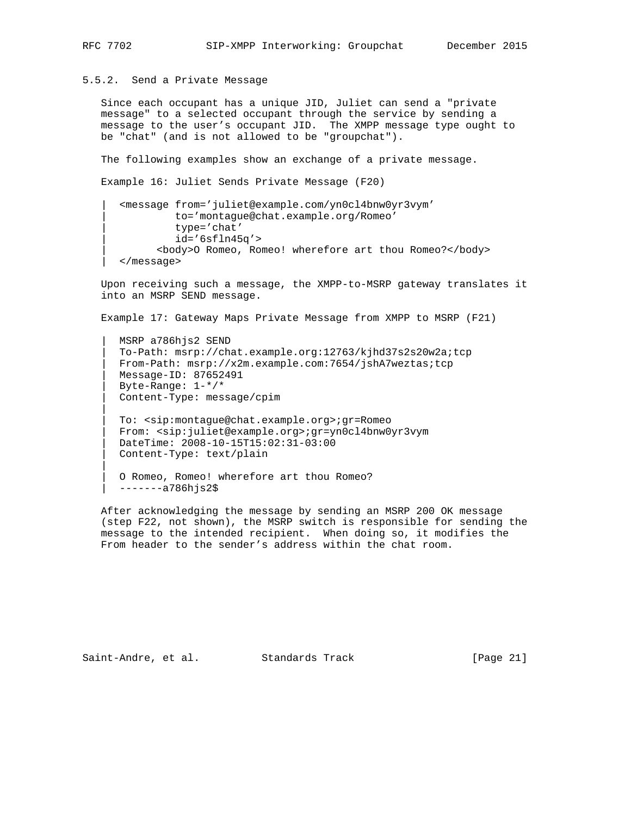5.5.2. Send a Private Message

 Since each occupant has a unique JID, Juliet can send a "private message" to a selected occupant through the service by sending a message to the user's occupant JID. The XMPP message type ought to be "chat" (and is not allowed to be "groupchat").

The following examples show an exchange of a private message.

Example 16: Juliet Sends Private Message (F20)

```
 | <message from='juliet@example.com/yn0cl4bnw0yr3vym'
          | to='montague@chat.example.org/Romeo'
          | type='chat'
         id='6sfln45q' | <body>O Romeo, Romeo! wherefore art thou Romeo?</body>
 | </message>
```
 Upon receiving such a message, the XMPP-to-MSRP gateway translates it into an MSRP SEND message.

Example 17: Gateway Maps Private Message from XMPP to MSRP (F21)

 | MSRP a786hjs2 SEND | To-Path: msrp://chat.example.org:12763/kjhd37s2s20w2a;tcp | From-Path: msrp://x2m.example.com:7654/jshA7weztas;tcp | Message-ID: 87652491 | Byte-Range: 1-\*/\* | Content-Type: message/cpim

 | To: <sip:montague@chat.example.org>;gr=Romeo | From: <sip:juliet@example.org>;gr=yn0cl4bnw0yr3vym | DateTime: 2008-10-15T15:02:31-03:00 | Content-Type: text/plain

```
0 Romeo, Romeo! wherefore art thou Romeo?
 | -------a786hjs2$
```
 After acknowledging the message by sending an MSRP 200 OK message (step F22, not shown), the MSRP switch is responsible for sending the message to the intended recipient. When doing so, it modifies the From header to the sender's address within the chat room.

Saint-Andre, et al. Standards Track [Page 21]

|| ||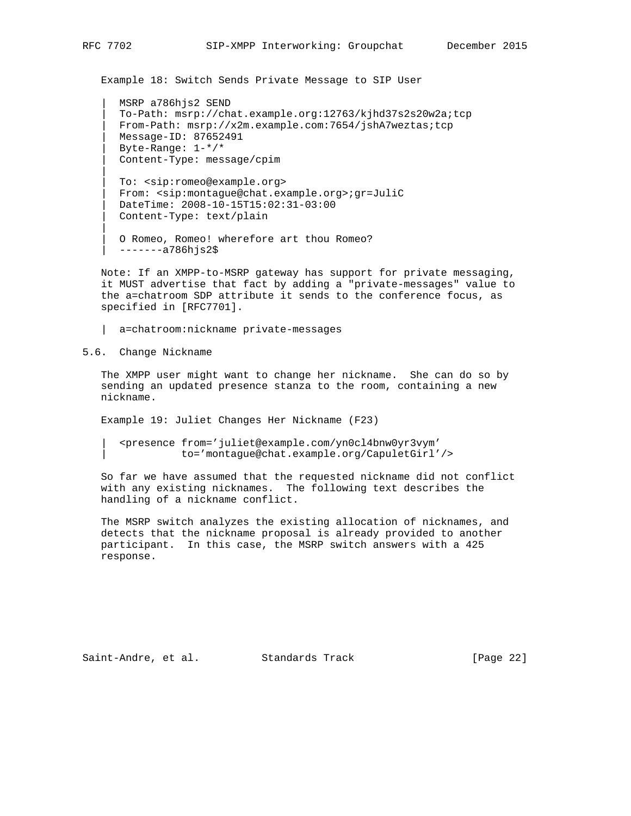Example 18: Switch Sends Private Message to SIP User

 | MSRP a786hjs2 SEND | To-Path: msrp://chat.example.org:12763/kjhd37s2s20w2a;tcp | From-Path: msrp://x2m.example.com:7654/jshA7weztas;tcp | Message-ID: 87652491 | Byte-Range: 1-\*/\* | Content-Type: message/cpim

 | To: <sip:romeo@example.org> | From: <sip:montague@chat.example.org>;gr=JuliC | DateTime: 2008-10-15T15:02:31-03:00 | Content-Type: text/plain

```
0 Romeo, Romeo! wherefore art thou Romeo?
 | -------a786hjs2$
```
 Note: If an XMPP-to-MSRP gateway has support for private messaging, it MUST advertise that fact by adding a "private-messages" value to the a=chatroom SDP attribute it sends to the conference focus, as specified in [RFC7701].

| a=chatroom:nickname private-messages

5.6. Change Nickname

 The XMPP user might want to change her nickname. She can do so by sending an updated presence stanza to the room, containing a new nickname.

Example 19: Juliet Changes Her Nickname (F23)

 | <presence from='juliet@example.com/yn0cl4bnw0yr3vym' | to='montague@chat.example.org/CapuletGirl'/>

 So far we have assumed that the requested nickname did not conflict with any existing nicknames. The following text describes the handling of a nickname conflict.

 The MSRP switch analyzes the existing allocation of nicknames, and detects that the nickname proposal is already provided to another participant. In this case, the MSRP switch answers with a 425 response.

Saint-Andre, et al. Standards Track [Page 22]

|| ||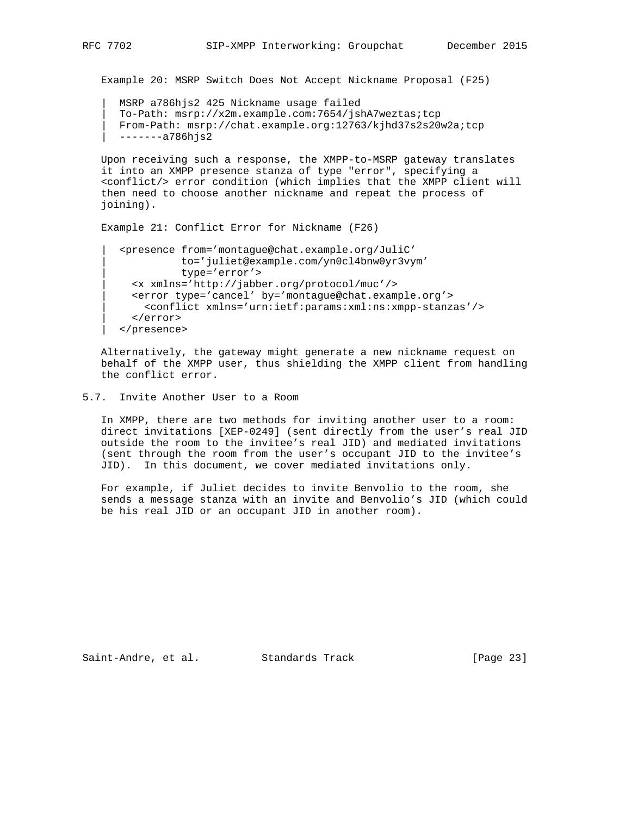Example 20: MSRP Switch Does Not Accept Nickname Proposal (F25)

```
 | MSRP a786hjs2 425 Nickname usage failed
 | To-Path: msrp://x2m.example.com:7654/jshA7weztas;tcp
 | From-Path: msrp://chat.example.org:12763/kjhd37s2s20w2a;tcp
 | -------a786hjs2
```
 Upon receiving such a response, the XMPP-to-MSRP gateway translates it into an XMPP presence stanza of type "error", specifying a <conflict/> error condition (which implies that the XMPP client will then need to choose another nickname and repeat the process of joining).

```
 Example 21: Conflict Error for Nickname (F26)
```

```
 | <presence from='montague@chat.example.org/JuliC'
          | to='juliet@example.com/yn0cl4bnw0yr3vym'
           | type='error'>
  | <x xmlns='http://jabber.org/protocol/muc'/>
  | <error type='cancel' by='montague@chat.example.org'>
    | <conflict xmlns='urn:ietf:params:xml:ns:xmpp-stanzas'/>
   | </error>
 | </presence>
```
 Alternatively, the gateway might generate a new nickname request on behalf of the XMPP user, thus shielding the XMPP client from handling the conflict error.

#### 5.7. Invite Another User to a Room

 In XMPP, there are two methods for inviting another user to a room: direct invitations [XEP-0249] (sent directly from the user's real JID outside the room to the invitee's real JID) and mediated invitations (sent through the room from the user's occupant JID to the invitee's JID). In this document, we cover mediated invitations only.

 For example, if Juliet decides to invite Benvolio to the room, she sends a message stanza with an invite and Benvolio's JID (which could be his real JID or an occupant JID in another room).

Saint-Andre, et al. Standards Track [Page 23]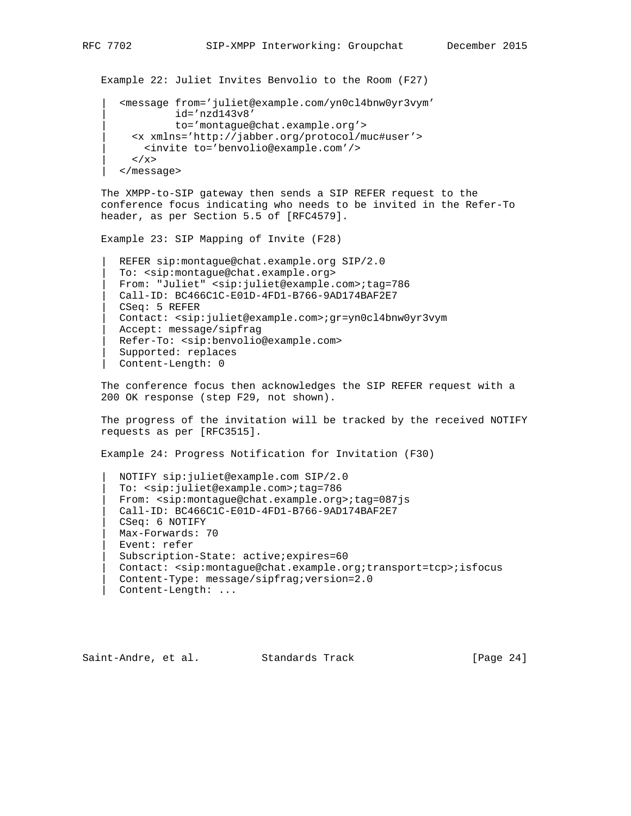Example 22: Juliet Invites Benvolio to the Room (F27)

```
 | <message from='juliet@example.com/yn0cl4bnw0yr3vym'
           | id='nzd143v8'
           | to='montague@chat.example.org'>
  | <x xmlns='http://jabber.org/protocol/muc#user'>
    | <invite to='benvolio@example.com'/>
  \langle / x> | </message>
```
 The XMPP-to-SIP gateway then sends a SIP REFER request to the conference focus indicating who needs to be invited in the Refer-To header, as per Section 5.5 of [RFC4579].

Example 23: SIP Mapping of Invite (F28)

```
 | REFER sip:montague@chat.example.org SIP/2.0
 | To: <sip:montague@chat.example.org>
 | From: "Juliet" <sip:juliet@example.com>;tag=786
 | Call-ID: BC466C1C-E01D-4FD1-B766-9AD174BAF2E7
 | CSeq: 5 REFER
 | Contact: <sip:juliet@example.com>;gr=yn0cl4bnw0yr3vym
Accept: message/sipfrag
 | Refer-To: <sip:benvolio@example.com>
 | Supported: replaces
 | Content-Length: 0
```
 The conference focus then acknowledges the SIP REFER request with a 200 OK response (step F29, not shown).

 The progress of the invitation will be tracked by the received NOTIFY requests as per [RFC3515].

Example 24: Progress Notification for Invitation (F30)

 | NOTIFY sip:juliet@example.com SIP/2.0 | To: <sip:juliet@example.com>;tag=786 | From: <sip:montague@chat.example.org>;tag=087js | Call-ID: BC466C1C-E01D-4FD1-B766-9AD174BAF2E7 | CSeq: 6 NOTIFY | Max-Forwards: 70 | Event: refer | Subscription-State: active;expires=60 | Contact: <sip:montague@chat.example.org;transport=tcp>;isfocus | Content-Type: message/sipfrag;version=2.0 | Content-Length: ...

Saint-Andre, et al. Standards Track [Page 24]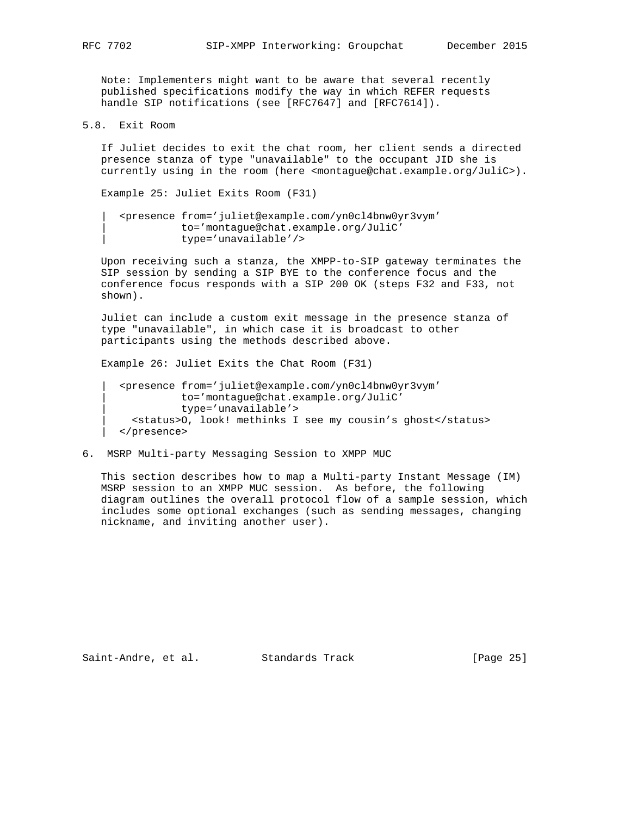Note: Implementers might want to be aware that several recently published specifications modify the way in which REFER requests handle SIP notifications (see [RFC7647] and [RFC7614]).

5.8. Exit Room

 If Juliet decides to exit the chat room, her client sends a directed presence stanza of type "unavailable" to the occupant JID she is currently using in the room (here <montague@chat.example.org/JuliC>).

Example 25: Juliet Exits Room (F31)

 | <presence from='juliet@example.com/yn0cl4bnw0yr3vym' | to='montague@chat.example.org/JuliC' | type='unavailable'/>

 Upon receiving such a stanza, the XMPP-to-SIP gateway terminates the SIP session by sending a SIP BYE to the conference focus and the conference focus responds with a SIP 200 OK (steps F32 and F33, not shown).

 Juliet can include a custom exit message in the presence stanza of type "unavailable", in which case it is broadcast to other participants using the methods described above.

Example 26: Juliet Exits the Chat Room (F31)

 | <presence from='juliet@example.com/yn0cl4bnw0yr3vym' | to='montague@chat.example.org/JuliC' | type='unavailable'> | <status>O, look! methinks I see my cousin's ghost</status> | </presence>

6. MSRP Multi-party Messaging Session to XMPP MUC

 This section describes how to map a Multi-party Instant Message (IM) MSRP session to an XMPP MUC session. As before, the following diagram outlines the overall protocol flow of a sample session, which includes some optional exchanges (such as sending messages, changing nickname, and inviting another user).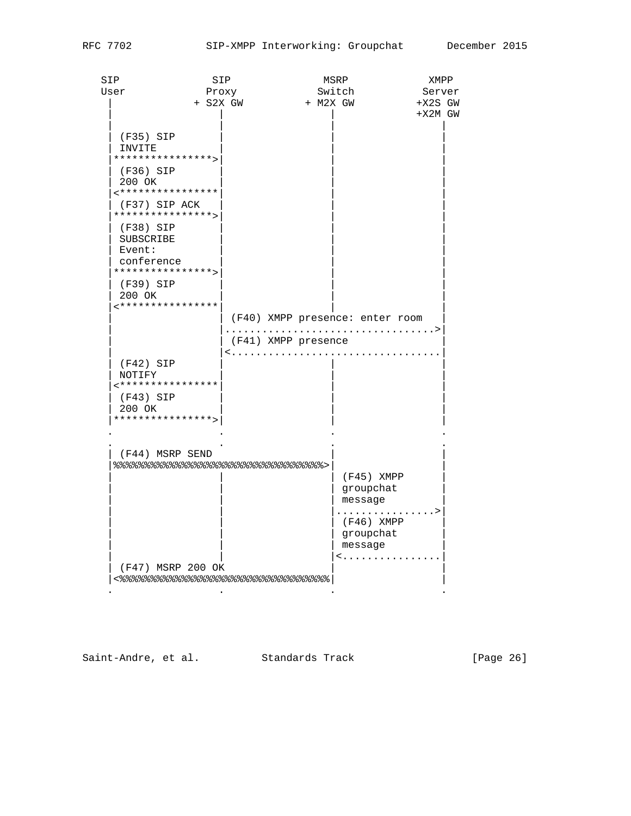| SIP                   | SIP                                    |             |                                 | MSRP              | XMPP      |
|-----------------------|----------------------------------------|-------------|---------------------------------|-------------------|-----------|
| User                  | Proxy                                  |             |                                 | Switch            | Server    |
|                       | + S2X GW                               |             | + M2X GW                        |                   | $+X2S$ GW |
|                       |                                        |             |                                 |                   | $+X2M$ GW |
|                       |                                        |             |                                 |                   |           |
| (F35) SIP             |                                        |             |                                 |                   |           |
| INVITE                | ****************>                      |             |                                 |                   |           |
|                       |                                        |             |                                 |                   |           |
| $(F36)$ SIP<br>200 OK |                                        |             |                                 |                   |           |
|                       | ****************                       |             |                                 |                   |           |
|                       | (F37) SIP ACK                          |             |                                 |                   |           |
|                       | ****************                       |             |                                 |                   |           |
| (F38) SIP             |                                        |             |                                 |                   |           |
| SUBSCRIBE             |                                        |             |                                 |                   |           |
| Event:                |                                        |             |                                 |                   |           |
| conference            |                                        |             |                                 |                   |           |
|                       | ****************>                      |             |                                 |                   |           |
| (F39) SIP             |                                        |             |                                 |                   |           |
| 200 OK                | ****************                       |             |                                 |                   |           |
|                       |                                        |             | (F40) XMPP presence: enter room |                   |           |
|                       |                                        |             |                                 |                   | . >       |
|                       |                                        |             | (F41) XMPP presence             |                   |           |
|                       |                                        | $\langle$ . |                                 |                   |           |
| $(F42)$ SIP           |                                        |             |                                 |                   |           |
| NOTIFY                |                                        |             |                                 |                   |           |
|                       | <****************                      |             |                                 |                   |           |
| (F43) SIP             |                                        |             |                                 |                   |           |
| 200 OK                | ****************>                      |             |                                 |                   |           |
|                       |                                        |             |                                 |                   |           |
|                       |                                        |             |                                 |                   |           |
|                       | (F44) MSRP SEND                        |             |                                 |                   |           |
|                       | 응응응응응응응응응응응응응응응응응응응응응응응응응응응응응응응응응응응 .  |             |                                 |                   |           |
|                       |                                        |             |                                 | $(F45)$ XMPP      |           |
|                       |                                        |             |                                 | groupchat         |           |
|                       |                                        |             |                                 | message           |           |
|                       |                                        |             |                                 | .                 | . >       |
|                       |                                        |             |                                 | $(F46)$ XMPP      |           |
|                       |                                        |             |                                 | groupchat         |           |
|                       |                                        |             |                                 | message<br>$\leq$ |           |
|                       | (F47) MSRP 200 OK                      |             |                                 |                   |           |
|                       | <응응응응응응응응응응응응응응응응응응응응응응응응응응응응응응응응응응응응응 |             |                                 |                   |           |
|                       |                                        |             |                                 |                   |           |

Saint-Andre, et al. Standards Track [Page 26]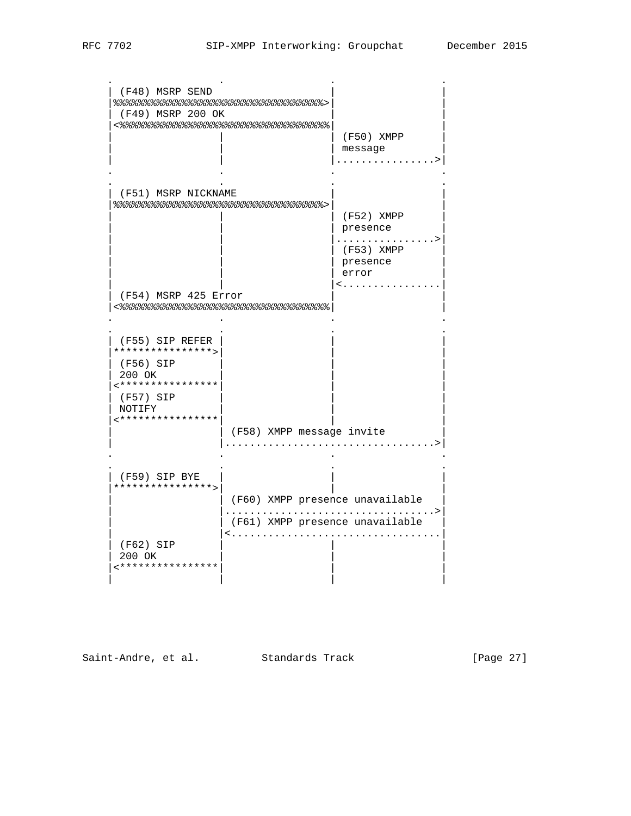| (F48) MSRP SEND      |                                      |                          |
|----------------------|--------------------------------------|--------------------------|
|                      | 응응응응응응응응응응응응응응응응응응응응응응응응응응응응응응응응응응응  |                          |
| (F49) MSRP 200 OK    |                                      |                          |
|                      | <%%%%%%%%%%%%%%%%%%%%%%%%%%%%        |                          |
|                      |                                      | (F50) XMPP               |
|                      |                                      | message                  |
|                      |                                      |                          |
|                      |                                      |                          |
| (F51) MSRP NICKNAME  |                                      |                          |
|                      | 응응응응응응응응응응응응응응응응응응응응응응응응응응응응응응응응응응응응 |                          |
|                      |                                      | $(F52)$ XMPP             |
|                      |                                      | presence                 |
|                      |                                      | $(F53)$ XMPP             |
|                      |                                      | presence                 |
|                      |                                      | error                    |
|                      |                                      | $\langle \ldots \rangle$ |
| (F54) MSRP 425 Error |                                      |                          |
|                      |                                      |                          |
|                      |                                      |                          |
| (F55) SIP REFER      |                                      |                          |
| ****************>    |                                      |                          |
| (F56) SIP<br>200 OK  |                                      |                          |
| <****************    |                                      |                          |
| (F57) SIP            |                                      |                          |
| NOTIFY               |                                      |                          |
| ****************     |                                      |                          |
|                      | (F58) XMPP message invite            |                          |
|                      |                                      |                          |
|                      |                                      |                          |
| (F59) SIP BYE        |                                      |                          |
| ****************>    |                                      |                          |
|                      | (F60) XMPP presence unavailable      |                          |
|                      |                                      |                          |
|                      | (F61) XMPP presence unavailable      |                          |
|                      |                                      |                          |
| (F62) SIP<br>200 OK  |                                      |                          |
| ****************     |                                      |                          |
|                      |                                      |                          |
|                      |                                      |                          |

Saint-Andre, et al. Standards Track [Page 27]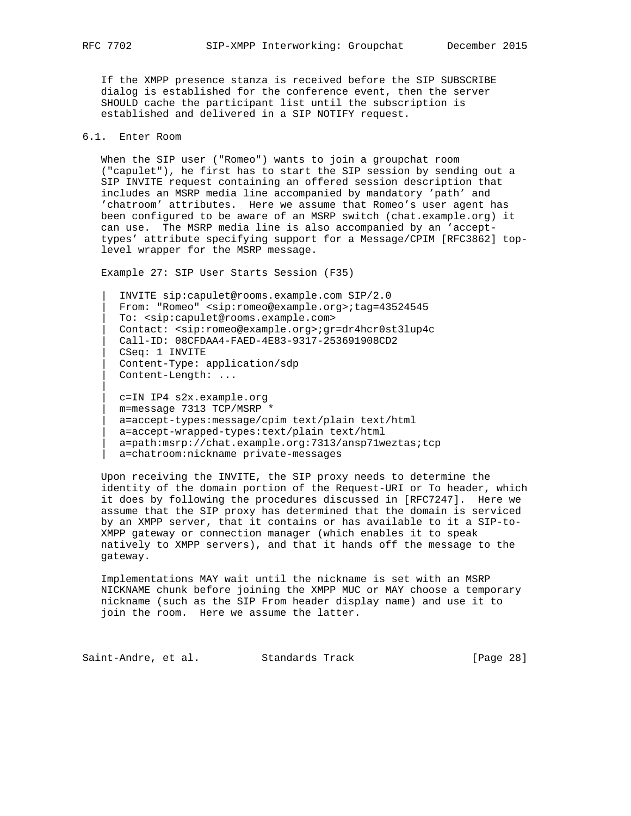If the XMPP presence stanza is received before the SIP SUBSCRIBE dialog is established for the conference event, then the server SHOULD cache the participant list until the subscription is established and delivered in a SIP NOTIFY request.

## 6.1. Enter Room

 When the SIP user ("Romeo") wants to join a groupchat room ("capulet"), he first has to start the SIP session by sending out a SIP INVITE request containing an offered session description that includes an MSRP media line accompanied by mandatory 'path' and 'chatroom' attributes. Here we assume that Romeo's user agent has been configured to be aware of an MSRP switch (chat.example.org) it can use. The MSRP media line is also accompanied by an 'accept types' attribute specifying support for a Message/CPIM [RFC3862] top level wrapper for the MSRP message.

Example 27: SIP User Starts Session (F35)

 | INVITE sip:capulet@rooms.example.com SIP/2.0 | From: "Romeo" <sip:romeo@example.org>;tag=43524545 | To: <sip:capulet@rooms.example.com> | Contact: <sip:romeo@example.org>;gr=dr4hcr0st3lup4c | Call-ID: 08CFDAA4-FAED-4E83-9317-253691908CD2 | CSeq: 1 INVITE | Content-Type: application/sdp | Content-Length: ... | c=IN IP4 s2x.example.org | m=message 7313 TCP/MSRP \* | a=accept-types:message/cpim text/plain text/html | a=accept-wrapped-types:text/plain text/html

a=path:msrp://chat.example.org:7313/ansp71weztas;tcp

| a=chatroom:nickname private-messages

 Upon receiving the INVITE, the SIP proxy needs to determine the identity of the domain portion of the Request-URI or To header, which it does by following the procedures discussed in [RFC7247]. Here we assume that the SIP proxy has determined that the domain is serviced by an XMPP server, that it contains or has available to it a SIP-to- XMPP gateway or connection manager (which enables it to speak natively to XMPP servers), and that it hands off the message to the gateway.

 Implementations MAY wait until the nickname is set with an MSRP NICKNAME chunk before joining the XMPP MUC or MAY choose a temporary nickname (such as the SIP From header display name) and use it to join the room. Here we assume the latter.

Saint-Andre, et al. Standards Track [Page 28]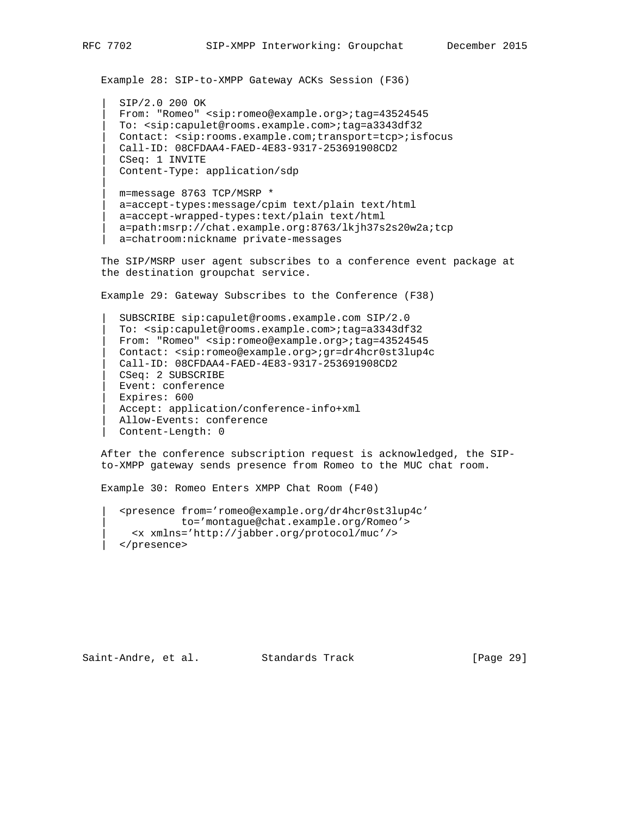Example 28: SIP-to-XMPP Gateway ACKs Session (F36)

 | SIP/2.0 200 OK | From: "Romeo" <sip:romeo@example.org>;tag=43524545 | To: <sip:capulet@rooms.example.com>;tag=a3343df32 | Contact: <sip:rooms.example.com;transport=tcp>;isfocus | Call-ID: 08CFDAA4-FAED-4E83-9317-253691908CD2 | CSeq: 1 INVITE | Content-Type: application/sdp

 | m=message 8763 TCP/MSRP \* | a=accept-types:message/cpim text/plain text/html | a=accept-wrapped-types:text/plain text/html | a=path:msrp://chat.example.org:8763/lkjh37s2s20w2a;tcp | a=chatroom:nickname private-messages

 The SIP/MSRP user agent subscribes to a conference event package at the destination groupchat service.

Example 29: Gateway Subscribes to the Conference (F38)

 | SUBSCRIBE sip:capulet@rooms.example.com SIP/2.0 | To: <sip:capulet@rooms.example.com>;tag=a3343df32 | From: "Romeo" <sip:romeo@example.org>;tag=43524545 | Contact: <sip:romeo@example.org>;gr=dr4hcr0st3lup4c | Call-ID: 08CFDAA4-FAED-4E83-9317-253691908CD2 | CSeq: 2 SUBSCRIBE | Event: conference | Expires: 600 | Accept: application/conference-info+xml | Allow-Events: conference | Content-Length: 0

 After the conference subscription request is acknowledged, the SIP to-XMPP gateway sends presence from Romeo to the MUC chat room.

Example 30: Romeo Enters XMPP Chat Room (F40)

 | <presence from='romeo@example.org/dr4hcr0st3lup4c' | to='montague@chat.example.org/Romeo'> | <x xmlns='http://jabber.org/protocol/muc'/> | </presence>

Saint-Andre, et al. Standards Track [Page 29]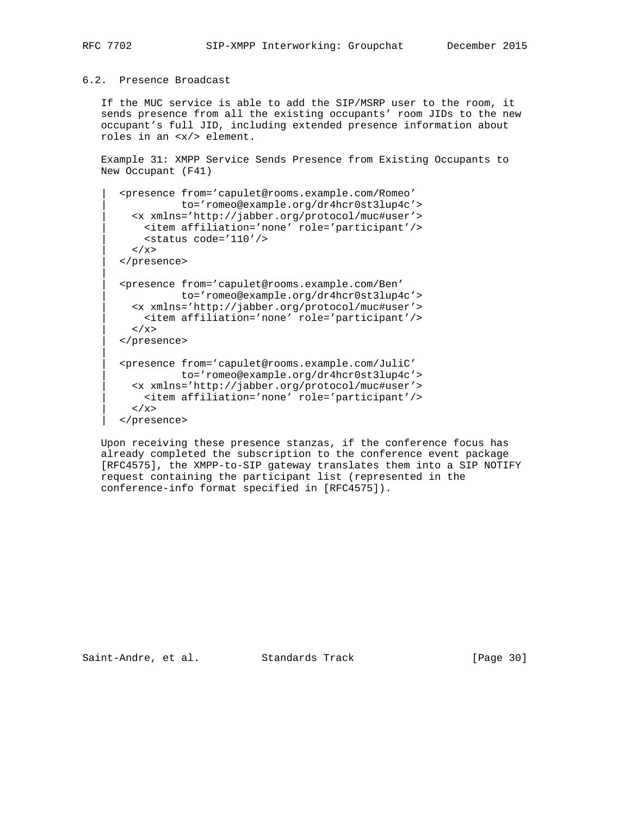## 6.2. Presence Broadcast

 If the MUC service is able to add the SIP/MSRP user to the room, it sends presence from all the existing occupants' room JIDs to the new occupant's full JID, including extended presence information about roles in an <x/> element.

 Example 31: XMPP Service Sends Presence from Existing Occupants to New Occupant (F41)

```
 | <presence from='capulet@rooms.example.com/Romeo'
           | to='romeo@example.org/dr4hcr0st3lup4c'>
   | <x xmlns='http://jabber.org/protocol/muc#user'>
    | <item affiliation='none' role='participant'/>
     | <status code='110'/>
 \langle / \times | </presence>
 | <presence from='capulet@rooms.example.com/Ben'
           | to='romeo@example.org/dr4hcr0st3lup4c'>
  | <x xmlns='http://jabber.org/protocol/muc#user'>
    | <item affiliation='none' role='participant'/>
 \langle / x> | </presence>
 | <presence from='capulet@rooms.example.com/JuliC'
            | to='romeo@example.org/dr4hcr0st3lup4c'>
   | <x xmlns='http://jabber.org/protocol/muc#user'>
    | <item affiliation='none' role='participant'/>
  \langle / x >
 | </presence>
```
 Upon receiving these presence stanzas, if the conference focus has already completed the subscription to the conference event package [RFC4575], the XMPP-to-SIP gateway translates them into a SIP NOTIFY request containing the participant list (represented in the conference-info format specified in [RFC4575]).

Saint-Andre, et al. Standards Track [Page 30]

|| ||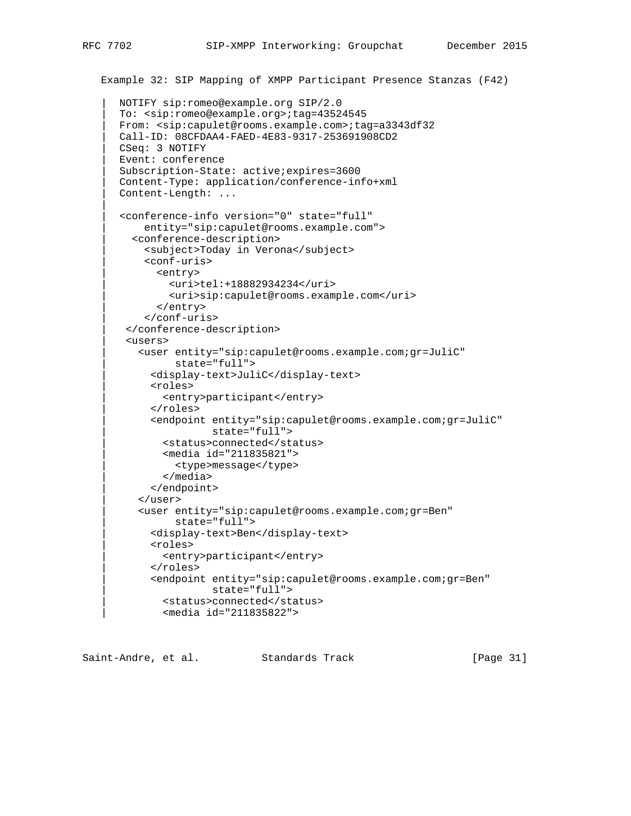```
 Example 32: SIP Mapping of XMPP Participant Presence Stanzas (F42)
    | NOTIFY sip:romeo@example.org SIP/2.0
    | To: <sip:romeo@example.org>;tag=43524545
    | From: <sip:capulet@rooms.example.com>;tag=a3343df32
   | Call-ID: 08CFDAA4-FAED-4E83-9317-253691908CD2
   | CSeq: 3 NOTIFY
    | Event: conference
    | Subscription-State: active;expires=3600
    | Content-Type: application/conference-info+xml
    | Content-Length: ...
    | <conference-info version="0" state="full"
        | entity="sip:capulet@rooms.example.com">
      | <conference-description>
        | <subject>Today in Verona</subject>
        | <conf-uris>
          | <entry>
             | <uri>tel:+18882934234</uri>
             | <uri>sip:capulet@rooms.example.com</uri>
           | </entry>
        | </conf-uris>
     | </conference-description>
     | <users>
       | <user entity="sip:capulet@rooms.example.com;gr=JuliC"
              | state="full">
         | <display-text>JuliC</display-text>
         | <roles>
            | <entry>participant</entry>
          | </roles>
          | <endpoint entity="sip:capulet@rooms.example.com;gr=JuliC"
                    | state="full">
           | <status>connected</status>
           | <media id="211835821">
              | <type>message</type>
            | </media>
         | </endpoint>
       | </user>
       | <user entity="sip:capulet@rooms.example.com;gr=Ben"
             | state="full">
         | <display-text>Ben</display-text>
         | <roles>
            | <entry>participant</entry>
          | </roles>
          | <endpoint entity="sip:capulet@rooms.example.com;gr=Ben"
                    | state="full">
           | <status>connected</status>
            | <media id="211835822">
```
Saint-Andre, et al. Standards Track [Page 31]

|| ||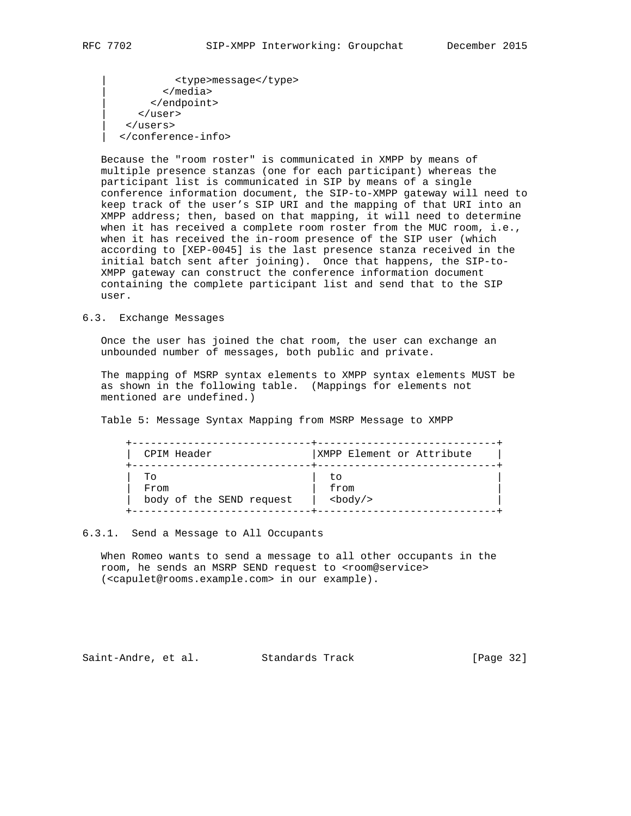| <type>message</type> | </media> | </endpoint> | </user> | </users> | </conference-info>

 Because the "room roster" is communicated in XMPP by means of multiple presence stanzas (one for each participant) whereas the participant list is communicated in SIP by means of a single conference information document, the SIP-to-XMPP gateway will need to keep track of the user's SIP URI and the mapping of that URI into an XMPP address; then, based on that mapping, it will need to determine when it has received a complete room roster from the MUC room, i.e., when it has received the in-room presence of the SIP user (which according to [XEP-0045] is the last presence stanza received in the initial batch sent after joining). Once that happens, the SIP-to- XMPP gateway can construct the conference information document containing the complete participant list and send that to the SIP user.

#### 6.3. Exchange Messages

 Once the user has joined the chat room, the user can exchange an unbounded number of messages, both public and private.

 The mapping of MSRP syntax elements to XMPP syntax elements MUST be as shown in the following table. (Mappings for elements not mentioned are undefined.)

Table 5: Message Syntax Mapping from MSRP Message to XMPP

| CPIM Header              | XMPP Element or Attribute |
|--------------------------|---------------------------|
| TΟ                       | tο                        |
| From                     | from                      |
| body of the SEND request | $<$ body $/$ >            |

## 6.3.1. Send a Message to All Occupants

 When Romeo wants to send a message to all other occupants in the room, he sends an MSRP SEND request to <room@service> (<capulet@rooms.example.com> in our example).

Saint-Andre, et al. Standards Track [Page 32]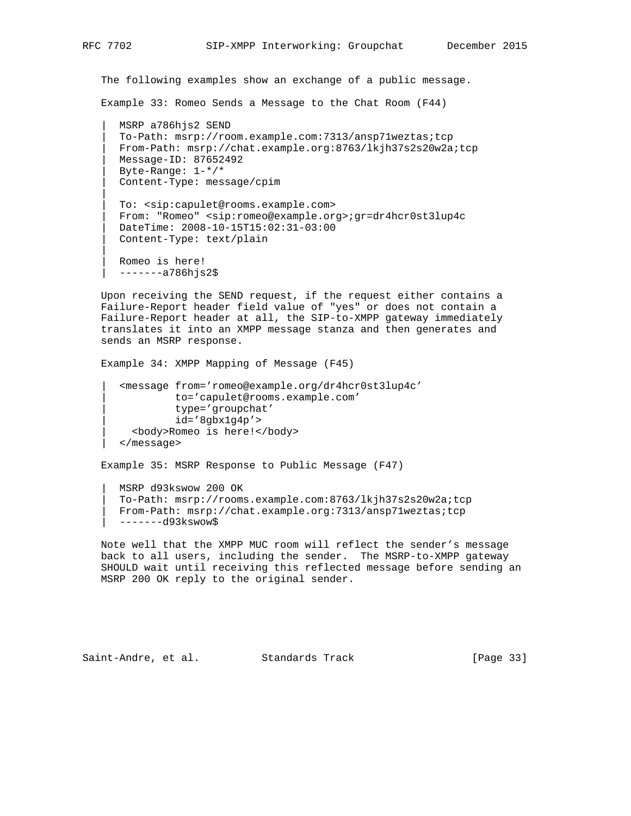The following examples show an exchange of a public message.

Example 33: Romeo Sends a Message to the Chat Room (F44)

 | MSRP a786hjs2 SEND | To-Path: msrp://room.example.com:7313/ansp71weztas;tcp | From-Path: msrp://chat.example.org:8763/lkjh37s2s20w2a;tcp | Message-ID: 87652492 | Byte-Range: 1-\*/\* | Content-Type: message/cpim

 | To: <sip:capulet@rooms.example.com> | From: "Romeo" <sip:romeo@example.org>;gr=dr4hcr0st3lup4c | DateTime: 2008-10-15T15:02:31-03:00 | Content-Type: text/plain

 | Romeo is here! | -------a786hjs2\$

 Upon receiving the SEND request, if the request either contains a Failure-Report header field value of "yes" or does not contain a Failure-Report header at all, the SIP-to-XMPP gateway immediately translates it into an XMPP message stanza and then generates and sends an MSRP response.

Example 34: XMPP Mapping of Message (F45)

 | <message from='romeo@example.org/dr4hcr0st3lup4c' | to='capulet@rooms.example.com' | type='groupchat'  $id='8gbx1g4p'$  | <body>Romeo is here!</body> | </message>

Example 35: MSRP Response to Public Message (F47)

 | MSRP d93kswow 200 OK | To-Path: msrp://rooms.example.com:8763/lkjh37s2s20w2a;tcp | From-Path: msrp://chat.example.org:7313/ansp71weztas;tcp | -------d93kswow\$

 Note well that the XMPP MUC room will reflect the sender's message back to all users, including the sender. The MSRP-to-XMPP gateway SHOULD wait until receiving this reflected message before sending an MSRP 200 OK reply to the original sender.

Saint-Andre, et al. Standards Track [Page 33]

|| || || ||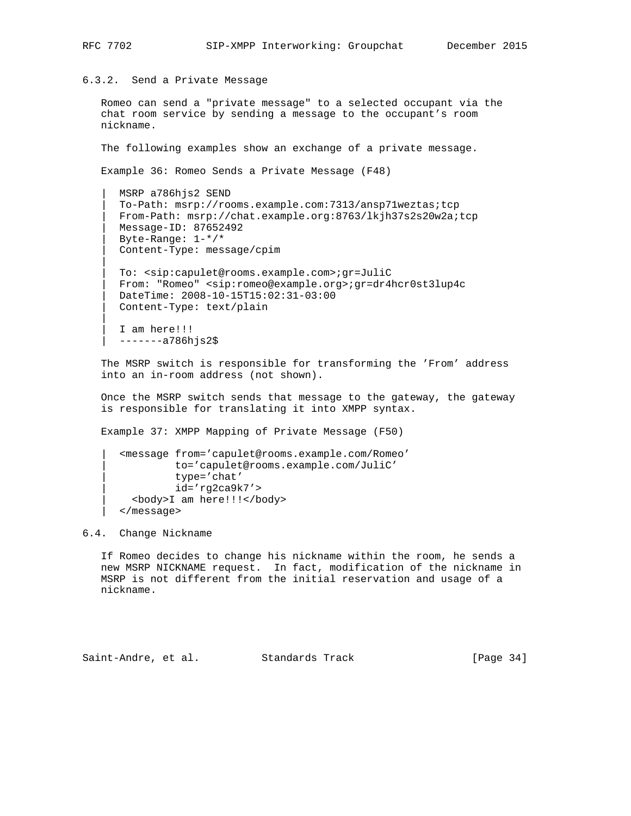6.3.2. Send a Private Message

 Romeo can send a "private message" to a selected occupant via the chat room service by sending a message to the occupant's room nickname.

The following examples show an exchange of a private message.

Example 36: Romeo Sends a Private Message (F48)

```
 | MSRP a786hjs2 SEND
 | To-Path: msrp://rooms.example.com:7313/ansp71weztas;tcp
 | From-Path: msrp://chat.example.org:8763/lkjh37s2s20w2a;tcp
 | Message-ID: 87652492
 | Byte-Range: 1-*/*
 | Content-Type: message/cpim
 | To: <sip:capulet@rooms.example.com>;gr=JuliC
 | From: "Romeo" <sip:romeo@example.org>;gr=dr4hcr0st3lup4c
 | DateTime: 2008-10-15T15:02:31-03:00
 | Content-Type: text/plain
I am here!!!
 | -------a786hjs2$
```
 The MSRP switch is responsible for transforming the 'From' address into an in-room address (not shown).

 Once the MSRP switch sends that message to the gateway, the gateway is responsible for translating it into XMPP syntax.

Example 37: XMPP Mapping of Private Message (F50)

```
 | <message from='capulet@rooms.example.com/Romeo'
          | to='capulet@rooms.example.com/JuliC'
           | type='chat'
           | id='rg2ca9k7'>
   | <body>I am here!!!</body>
 | </message>
```
### 6.4. Change Nickname

 If Romeo decides to change his nickname within the room, he sends a new MSRP NICKNAME request. In fact, modification of the nickname in MSRP is not different from the initial reservation and usage of a nickname.

Saint-Andre, et al. Standards Track [Page 34]

|| || || ||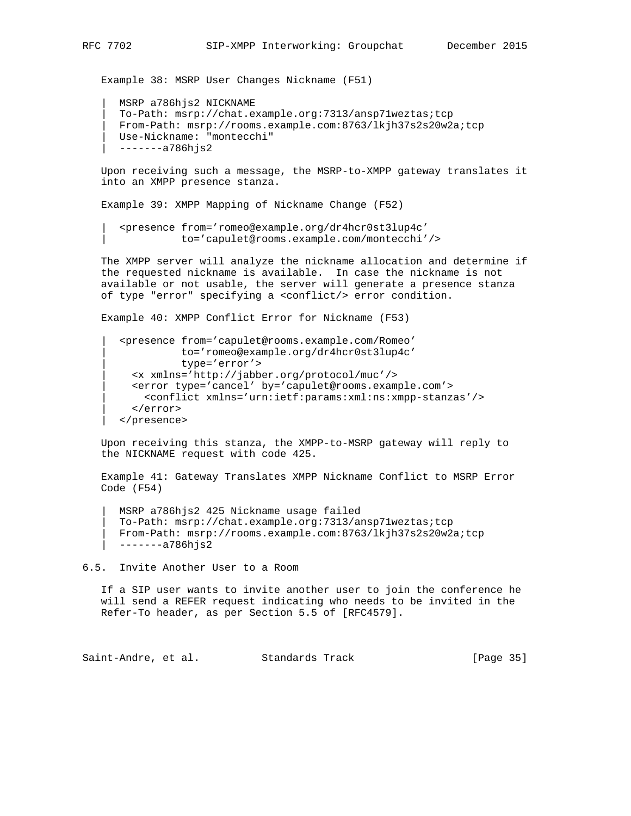Example 38: MSRP User Changes Nickname (F51)

```
 | MSRP a786hjs2 NICKNAME
 | To-Path: msrp://chat.example.org:7313/ansp71weztas;tcp
 | From-Path: msrp://rooms.example.com:8763/lkjh37s2s20w2a;tcp
 | Use-Nickname: "montecchi"
 | -------a786hjs2
```
 Upon receiving such a message, the MSRP-to-XMPP gateway translates it into an XMPP presence stanza.

Example 39: XMPP Mapping of Nickname Change (F52)

```
 | <presence from='romeo@example.org/dr4hcr0st3lup4c'
           | to='capulet@rooms.example.com/montecchi'/>
```
 The XMPP server will analyze the nickname allocation and determine if the requested nickname is available. In case the nickname is not available or not usable, the server will generate a presence stanza of type "error" specifying a <conflict/> error condition.

Example 40: XMPP Conflict Error for Nickname (F53)

```
 | <presence from='capulet@rooms.example.com/Romeo'
           | to='romeo@example.org/dr4hcr0st3lup4c'
           | type='error'>
  | <x xmlns='http://jabber.org/protocol/muc'/>
  | <error type='cancel' by='capulet@rooms.example.com'>
     | <conflict xmlns='urn:ietf:params:xml:ns:xmpp-stanzas'/>
   | </error>
 | </presence>
```
 Upon receiving this stanza, the XMPP-to-MSRP gateway will reply to the NICKNAME request with code 425.

 Example 41: Gateway Translates XMPP Nickname Conflict to MSRP Error Code (F54)

 | MSRP a786hjs2 425 Nickname usage failed | To-Path: msrp://chat.example.org:7313/ansp71weztas;tcp | From-Path: msrp://rooms.example.com:8763/lkjh37s2s20w2a;tcp | -------a786hjs2

6.5. Invite Another User to a Room

 If a SIP user wants to invite another user to join the conference he will send a REFER request indicating who needs to be invited in the Refer-To header, as per Section 5.5 of [RFC4579].

Saint-Andre, et al. Standards Track [Page 35]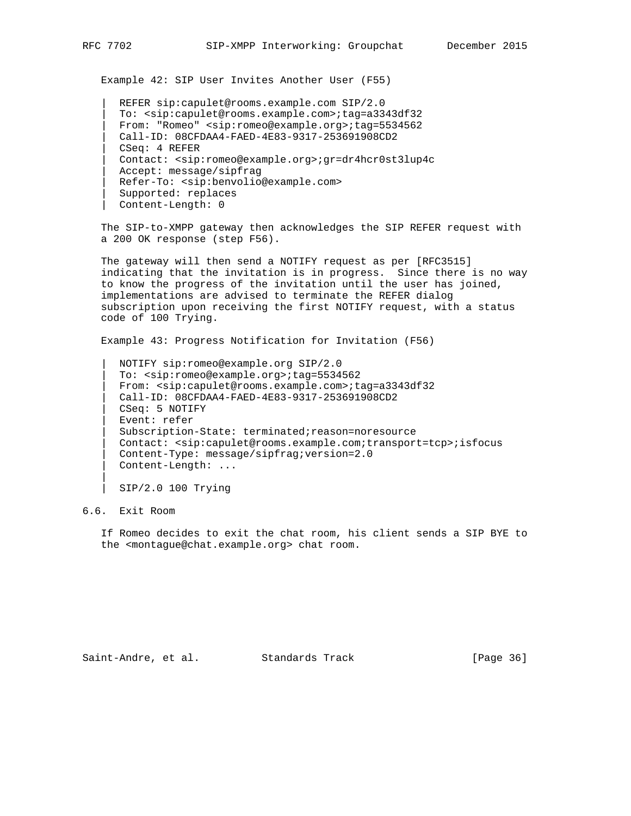Example 42: SIP User Invites Another User (F55)

```
 | REFER sip:capulet@rooms.example.com SIP/2.0
 | To: <sip:capulet@rooms.example.com>;tag=a3343df32
 | From: "Romeo" <sip:romeo@example.org>;tag=5534562
 | Call-ID: 08CFDAA4-FAED-4E83-9317-253691908CD2
 | CSeq: 4 REFER
 | Contact: <sip:romeo@example.org>;gr=dr4hcr0st3lup4c
Accept: message/sipfrag
 | Refer-To: <sip:benvolio@example.com>
 | Supported: replaces
 | Content-Length: 0
```
 The SIP-to-XMPP gateway then acknowledges the SIP REFER request with a 200 OK response (step F56).

 The gateway will then send a NOTIFY request as per [RFC3515] indicating that the invitation is in progress. Since there is no way to know the progress of the invitation until the user has joined, implementations are advised to terminate the REFER dialog subscription upon receiving the first NOTIFY request, with a status code of 100 Trying.

Example 43: Progress Notification for Invitation (F56)

 | NOTIFY sip:romeo@example.org SIP/2.0 | To: <sip:romeo@example.org>;tag=5534562 | From: <sip:capulet@rooms.example.com>;tag=a3343df32 | Call-ID: 08CFDAA4-FAED-4E83-9317-253691908CD2 | CSeq: 5 NOTIFY | Event: refer | Subscription-State: terminated;reason=noresource | Contact: <sip:capulet@rooms.example.com;transport=tcp>;isfocus | Content-Type: message/sipfrag;version=2.0 | Content-Length: ...

| SIP/2.0 100 Trying

# 6.6. Exit Room

|| ||

 If Romeo decides to exit the chat room, his client sends a SIP BYE to the <montague@chat.example.org> chat room.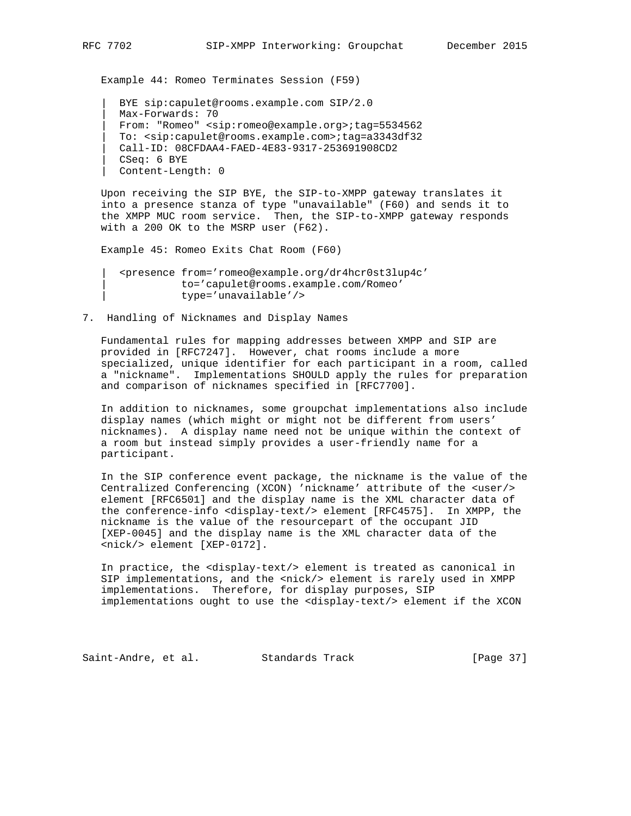Example 44: Romeo Terminates Session (F59)

 | BYE sip:capulet@rooms.example.com SIP/2.0 | Max-Forwards: 70 | From: "Romeo" <sip:romeo@example.org>;tag=5534562 | To: <sip:capulet@rooms.example.com>;tag=a3343df32 | Call-ID: 08CFDAA4-FAED-4E83-9317-253691908CD2 | CSeq: 6 BYE | Content-Length: 0

 Upon receiving the SIP BYE, the SIP-to-XMPP gateway translates it into a presence stanza of type "unavailable" (F60) and sends it to the XMPP MUC room service. Then, the SIP-to-XMPP gateway responds with a 200 OK to the MSRP user (F62).

Example 45: Romeo Exits Chat Room (F60)

 | <presence from='romeo@example.org/dr4hcr0st3lup4c' | to='capulet@rooms.example.com/Romeo' | type='unavailable'/>

7. Handling of Nicknames and Display Names

 Fundamental rules for mapping addresses between XMPP and SIP are provided in [RFC7247]. However, chat rooms include a more specialized, unique identifier for each participant in a room, called a "nickname". Implementations SHOULD apply the rules for preparation and comparison of nicknames specified in [RFC7700].

 In addition to nicknames, some groupchat implementations also include display names (which might or might not be different from users' nicknames). A display name need not be unique within the context of a room but instead simply provides a user-friendly name for a participant.

 In the SIP conference event package, the nickname is the value of the Centralized Conferencing (XCON) 'nickname' attribute of the <user/> element [RFC6501] and the display name is the XML character data of the conference-info <display-text/> element [RFC4575]. In XMPP, the nickname is the value of the resourcepart of the occupant JID [XEP-0045] and the display name is the XML character data of the <nick/> element [XEP-0172].

 In practice, the <display-text/> element is treated as canonical in SIP implementations, and the <nick/> element is rarely used in XMPP implementations. Therefore, for display purposes, SIP implementations ought to use the <display-text/> element if the XCON

Saint-Andre, et al. Standards Track [Page 37]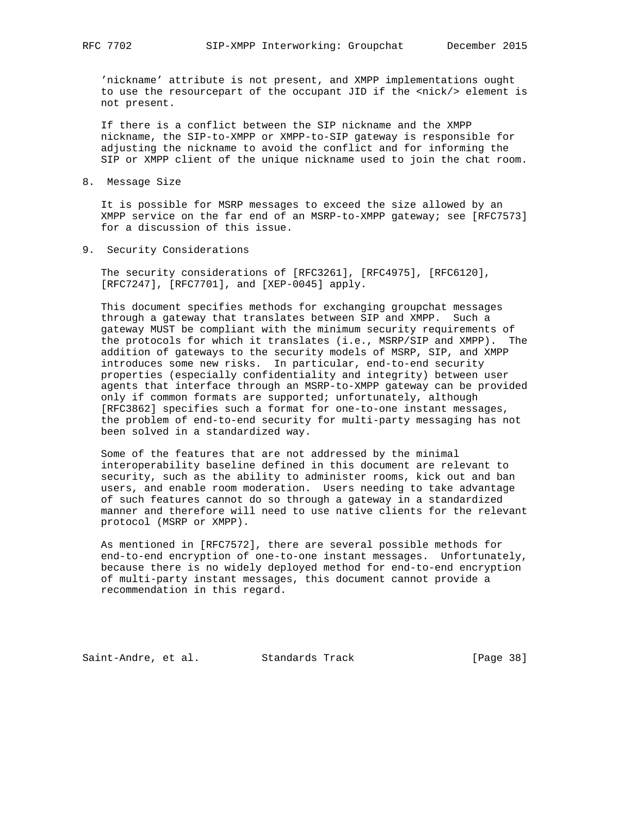'nickname' attribute is not present, and XMPP implementations ought to use the resourcepart of the occupant JID if the <nick/> element is not present.

 If there is a conflict between the SIP nickname and the XMPP nickname, the SIP-to-XMPP or XMPP-to-SIP gateway is responsible for adjusting the nickname to avoid the conflict and for informing the SIP or XMPP client of the unique nickname used to join the chat room.

8. Message Size

 It is possible for MSRP messages to exceed the size allowed by an XMPP service on the far end of an MSRP-to-XMPP gateway; see [RFC7573] for a discussion of this issue.

9. Security Considerations

 The security considerations of [RFC3261], [RFC4975], [RFC6120], [RFC7247], [RFC7701], and [XEP-0045] apply.

 This document specifies methods for exchanging groupchat messages through a gateway that translates between SIP and XMPP. Such a gateway MUST be compliant with the minimum security requirements of the protocols for which it translates (i.e., MSRP/SIP and XMPP). The addition of gateways to the security models of MSRP, SIP, and XMPP introduces some new risks. In particular, end-to-end security properties (especially confidentiality and integrity) between user agents that interface through an MSRP-to-XMPP gateway can be provided only if common formats are supported; unfortunately, although [RFC3862] specifies such a format for one-to-one instant messages, the problem of end-to-end security for multi-party messaging has not been solved in a standardized way.

 Some of the features that are not addressed by the minimal interoperability baseline defined in this document are relevant to security, such as the ability to administer rooms, kick out and ban users, and enable room moderation. Users needing to take advantage of such features cannot do so through a gateway in a standardized manner and therefore will need to use native clients for the relevant protocol (MSRP or XMPP).

 As mentioned in [RFC7572], there are several possible methods for end-to-end encryption of one-to-one instant messages. Unfortunately, because there is no widely deployed method for end-to-end encryption of multi-party instant messages, this document cannot provide a recommendation in this regard.

Saint-Andre, et al. Standards Track [Page 38]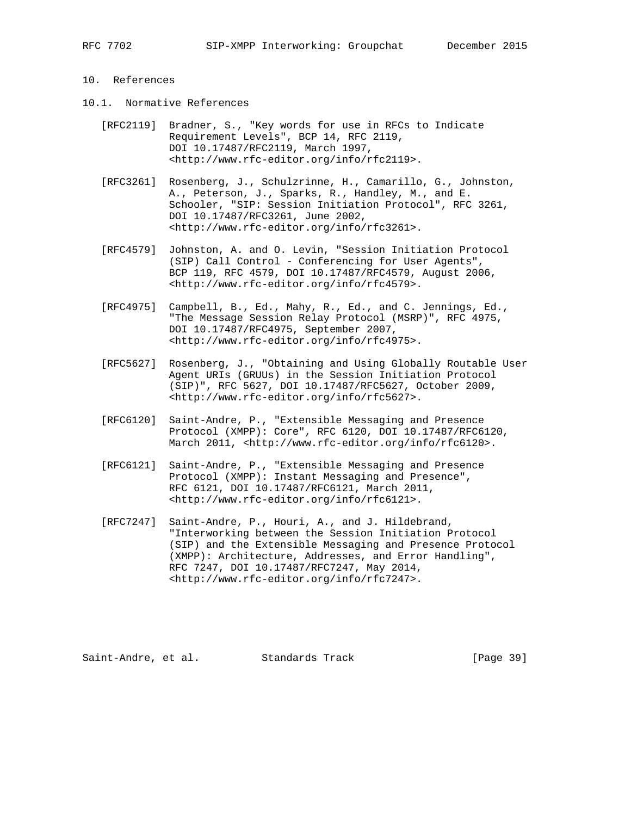## 10. References

- 10.1. Normative References
	- [RFC2119] Bradner, S., "Key words for use in RFCs to Indicate Requirement Levels", BCP 14, RFC 2119, DOI 10.17487/RFC2119, March 1997, <http://www.rfc-editor.org/info/rfc2119>.
	- [RFC3261] Rosenberg, J., Schulzrinne, H., Camarillo, G., Johnston, A., Peterson, J., Sparks, R., Handley, M., and E. Schooler, "SIP: Session Initiation Protocol", RFC 3261, DOI 10.17487/RFC3261, June 2002, <http://www.rfc-editor.org/info/rfc3261>.
	- [RFC4579] Johnston, A. and O. Levin, "Session Initiation Protocol (SIP) Call Control - Conferencing for User Agents", BCP 119, RFC 4579, DOI 10.17487/RFC4579, August 2006, <http://www.rfc-editor.org/info/rfc4579>.
	- [RFC4975] Campbell, B., Ed., Mahy, R., Ed., and C. Jennings, Ed., "The Message Session Relay Protocol (MSRP)", RFC 4975, DOI 10.17487/RFC4975, September 2007, <http://www.rfc-editor.org/info/rfc4975>.
	- [RFC5627] Rosenberg, J., "Obtaining and Using Globally Routable User Agent URIs (GRUUs) in the Session Initiation Protocol (SIP)", RFC 5627, DOI 10.17487/RFC5627, October 2009, <http://www.rfc-editor.org/info/rfc5627>.
	- [RFC6120] Saint-Andre, P., "Extensible Messaging and Presence Protocol (XMPP): Core", RFC 6120, DOI 10.17487/RFC6120, March 2011, <http://www.rfc-editor.org/info/rfc6120>.
	- [RFC6121] Saint-Andre, P., "Extensible Messaging and Presence Protocol (XMPP): Instant Messaging and Presence", RFC 6121, DOI 10.17487/RFC6121, March 2011, <http://www.rfc-editor.org/info/rfc6121>.
	- [RFC7247] Saint-Andre, P., Houri, A., and J. Hildebrand, "Interworking between the Session Initiation Protocol (SIP) and the Extensible Messaging and Presence Protocol (XMPP): Architecture, Addresses, and Error Handling", RFC 7247, DOI 10.17487/RFC7247, May 2014, <http://www.rfc-editor.org/info/rfc7247>.

Saint-Andre, et al. Standards Track [Page 39]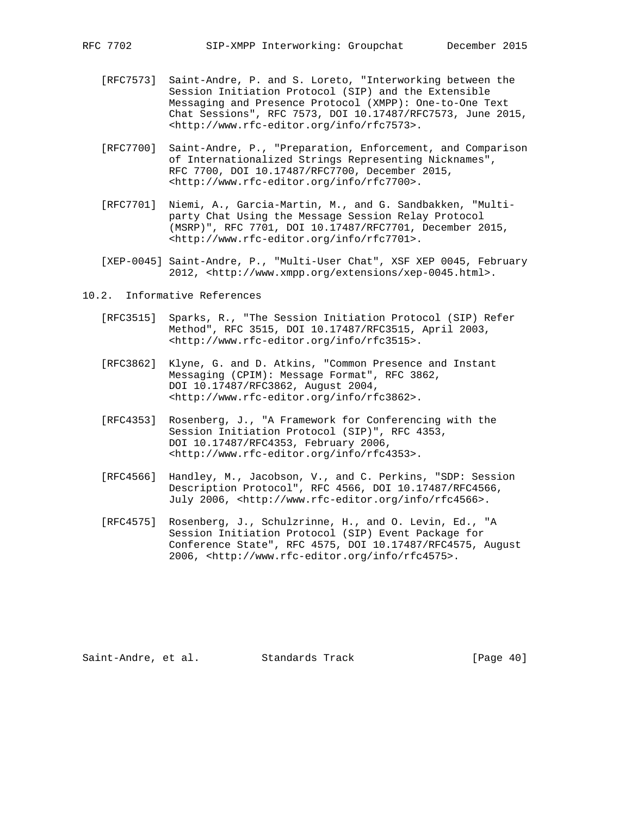- [RFC7573] Saint-Andre, P. and S. Loreto, "Interworking between the Session Initiation Protocol (SIP) and the Extensible Messaging and Presence Protocol (XMPP): One-to-One Text Chat Sessions", RFC 7573, DOI 10.17487/RFC7573, June 2015, <http://www.rfc-editor.org/info/rfc7573>.
- [RFC7700] Saint-Andre, P., "Preparation, Enforcement, and Comparison of Internationalized Strings Representing Nicknames", RFC 7700, DOI 10.17487/RFC7700, December 2015, <http://www.rfc-editor.org/info/rfc7700>.
- [RFC7701] Niemi, A., Garcia-Martin, M., and G. Sandbakken, "Multi party Chat Using the Message Session Relay Protocol (MSRP)", RFC 7701, DOI 10.17487/RFC7701, December 2015, <http://www.rfc-editor.org/info/rfc7701>.
- [XEP-0045] Saint-Andre, P., "Multi-User Chat", XSF XEP 0045, February 2012, <http://www.xmpp.org/extensions/xep-0045.html>.
- 10.2. Informative References
	- [RFC3515] Sparks, R., "The Session Initiation Protocol (SIP) Refer Method", RFC 3515, DOI 10.17487/RFC3515, April 2003, <http://www.rfc-editor.org/info/rfc3515>.
	- [RFC3862] Klyne, G. and D. Atkins, "Common Presence and Instant Messaging (CPIM): Message Format", RFC 3862, DOI 10.17487/RFC3862, August 2004, <http://www.rfc-editor.org/info/rfc3862>.
	- [RFC4353] Rosenberg, J., "A Framework for Conferencing with the Session Initiation Protocol (SIP)", RFC 4353, DOI 10.17487/RFC4353, February 2006, <http://www.rfc-editor.org/info/rfc4353>.
	- [RFC4566] Handley, M., Jacobson, V., and C. Perkins, "SDP: Session Description Protocol", RFC 4566, DOI 10.17487/RFC4566, July 2006, <http://www.rfc-editor.org/info/rfc4566>.
	- [RFC4575] Rosenberg, J., Schulzrinne, H., and O. Levin, Ed., "A Session Initiation Protocol (SIP) Event Package for Conference State", RFC 4575, DOI 10.17487/RFC4575, August 2006, <http://www.rfc-editor.org/info/rfc4575>.

Saint-Andre, et al. Standards Track [Page 40]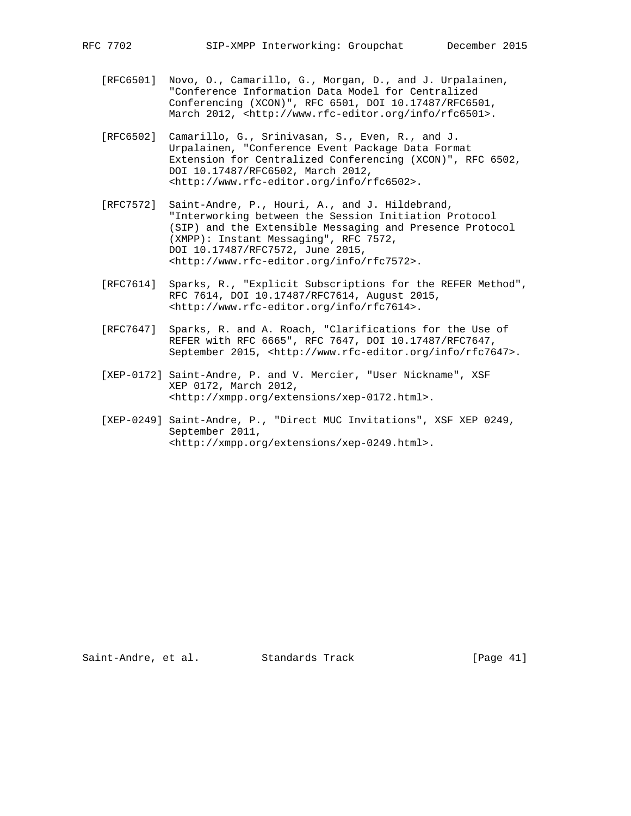- [RFC6501] Novo, O., Camarillo, G., Morgan, D., and J. Urpalainen, "Conference Information Data Model for Centralized Conferencing (XCON)", RFC 6501, DOI 10.17487/RFC6501, March 2012, <http://www.rfc-editor.org/info/rfc6501>.
- [RFC6502] Camarillo, G., Srinivasan, S., Even, R., and J. Urpalainen, "Conference Event Package Data Format Extension for Centralized Conferencing (XCON)", RFC 6502, DOI 10.17487/RFC6502, March 2012, <http://www.rfc-editor.org/info/rfc6502>.
- [RFC7572] Saint-Andre, P., Houri, A., and J. Hildebrand, "Interworking between the Session Initiation Protocol (SIP) and the Extensible Messaging and Presence Protocol (XMPP): Instant Messaging", RFC 7572, DOI 10.17487/RFC7572, June 2015, <http://www.rfc-editor.org/info/rfc7572>.
- [RFC7614] Sparks, R., "Explicit Subscriptions for the REFER Method", RFC 7614, DOI 10.17487/RFC7614, August 2015, <http://www.rfc-editor.org/info/rfc7614>.
- [RFC7647] Sparks, R. and A. Roach, "Clarifications for the Use of REFER with RFC 6665", RFC 7647, DOI 10.17487/RFC7647, September 2015, <http://www.rfc-editor.org/info/rfc7647>.
- [XEP-0172] Saint-Andre, P. and V. Mercier, "User Nickname", XSF XEP 0172, March 2012, <http://xmpp.org/extensions/xep-0172.html>.
- [XEP-0249] Saint-Andre, P., "Direct MUC Invitations", XSF XEP 0249, September 2011, <http://xmpp.org/extensions/xep-0249.html>.

Saint-Andre, et al. Standards Track [Page 41]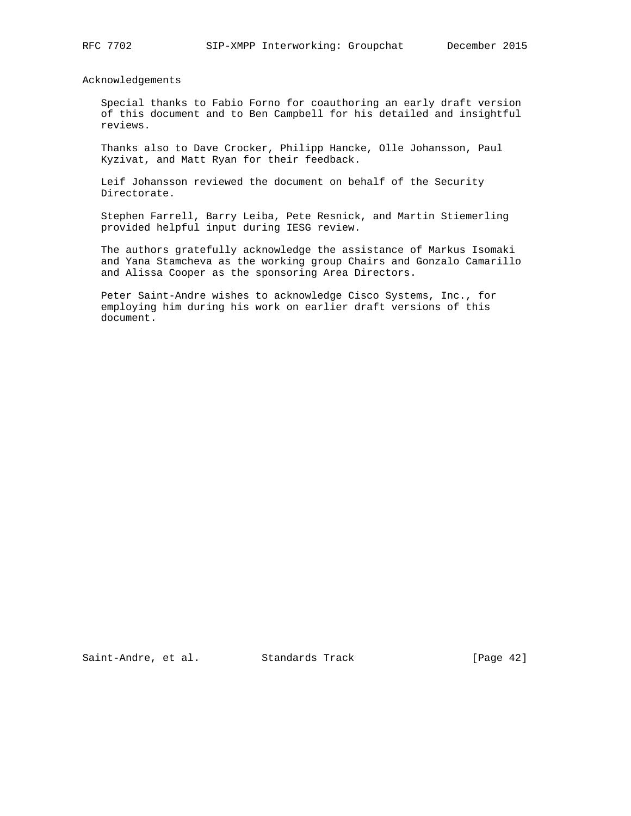Acknowledgements

 Special thanks to Fabio Forno for coauthoring an early draft version of this document and to Ben Campbell for his detailed and insightful reviews.

 Thanks also to Dave Crocker, Philipp Hancke, Olle Johansson, Paul Kyzivat, and Matt Ryan for their feedback.

 Leif Johansson reviewed the document on behalf of the Security Directorate.

 Stephen Farrell, Barry Leiba, Pete Resnick, and Martin Stiemerling provided helpful input during IESG review.

 The authors gratefully acknowledge the assistance of Markus Isomaki and Yana Stamcheva as the working group Chairs and Gonzalo Camarillo and Alissa Cooper as the sponsoring Area Directors.

 Peter Saint-Andre wishes to acknowledge Cisco Systems, Inc., for employing him during his work on earlier draft versions of this document.